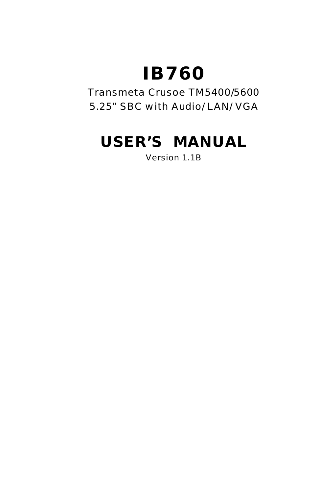# **IB760**

Transmeta Crusoe TM5400/5600 5.25" SBC with Audio/ LAN/ VGA

# **USER'S MANUAL**

Version 1.1B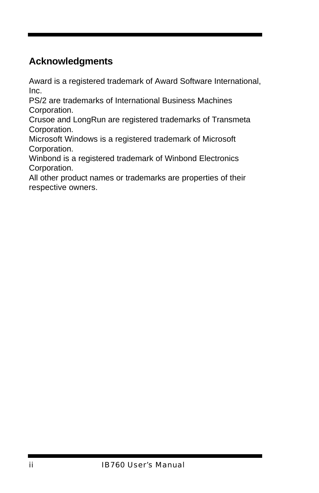## **Acknowledgments**

Award is a registered trademark of Award Software International, Inc.

PS/2 are trademarks of International Business Machines Corporation.

Crusoe and LongRun are registered trademarks of Transmeta Corporation.

Microsoft Windows is a registered trademark of Microsoft Corporation.

Winbond is a registered trademark of Winbond Electronics Corporation.

All other product names or trademarks are properties of their respective owners.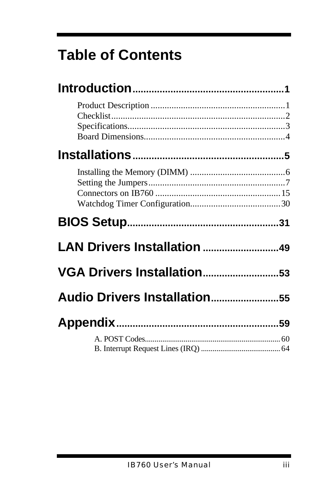# **Table of Contents**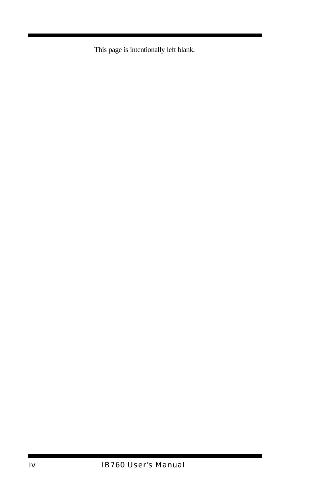This page is intentionally left blank.

۰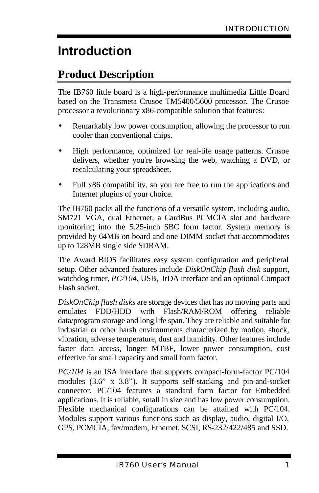# **Introduction**

## **Product Description**

The IB760 little board is a high-performance multimedia Little Board based on the Transmeta Crusoe TM5400/5600 processor. The Crusoe processor a revolutionary x86-compatible solution that features:

- Remarkably low power consumption, allowing the processor to run cooler than conventional chips.
- High performance, optimized for real-life usage patterns. Crusoe delivers, whether you're browsing the web, watching a DVD, or recalculating your spreadsheet.
- Full x86 compatibility, so you are free to run the applications and Internet plugins of your choice.

The IB760 packs all the functions of a versatile system, including audio, SM721 VGA, dual Ethernet, a CardBus PCMCIA slot and hardware monitoring into the 5.25-inch SBC form factor. System memory is provided by 64MB on board and one DIMM socket that accommodates up to 128MB single side SDRAM.

The Award BIOS facilitates easy system configuration and peripheral setup. Other advanced features include *DiskOnChip flash disk* support, watchdog timer, *PC/104*, USB, IrDA interface and an optional Compact Flash socket.

*DiskOnChip flash disks* are storage devices that has no moving parts and emulates FDD/HDD with Flash/RAM/ROM offering reliable data/program storage and long life span. They are reliable and suitable for industrial or other harsh environments characterized by motion, shock, vibration, adverse temperature, dust and humidity. Other features include faster data access, longer MTBF, lower power consumption, cost effective for small capacity and small form factor.

*PC/104* is an ISA interface that supports compact-form-factor PC/104 modules (3.6" x 3.8"). It supports self-stacking and pin-and-socket connector. PC/104 features a standard form factor for Embedded applications. It is reliable, small in size and has low power consumption. Flexible mechanical configurations can be attained with PC/104. Modules support various functions such as display, audio, digital I/O, GPS, PCMCIA, fax/modem, Ethernet, SCSI, RS-232/422/485 and SSD.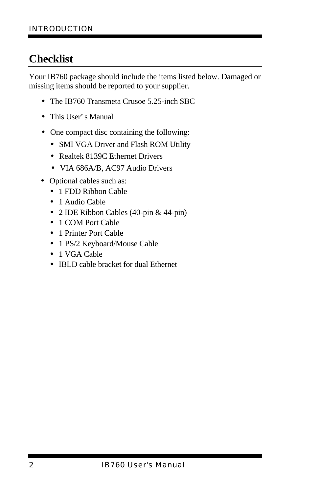## **Checklist**

Your IB760 package should include the items listed below. Damaged or missing items should be reported to your supplier.

- **·** The IB760 Transmeta Crusoe 5.25-inch SBC
- **·** This User's Manual
- **·** One compact disc containing the following:
	- **·** SMI VGA Driver and Flash ROM Utility
	- **·** Realtek 8139C Ethernet Drivers
	- **·** VIA 686A/B, AC97 Audio Drivers
- **·** Optional cables such as:
	- **·** 1 FDD Ribbon Cable
	- **·** 1 Audio Cable
	- **·** 2 IDE Ribbon Cables (40-pin & 44-pin)
	- **·** 1 COM Port Cable
	- **·** 1 Printer Port Cable
	- **·** 1 PS/2 Keyboard/Mouse Cable
	- **·** 1 VGA Cable
	- **·** IBLD cable bracket for dual Ethernet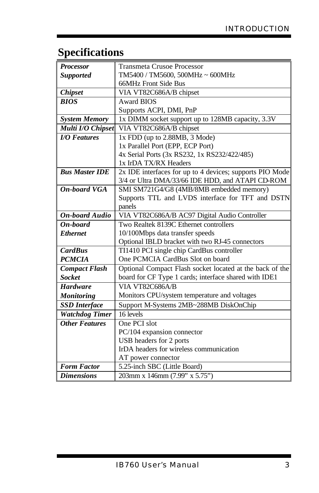# **Specifications**

| <b>Processor</b>      | <b>Transmeta Crusoe Processor</b>                        |
|-----------------------|----------------------------------------------------------|
| <b>Supported</b>      | TM5400 / TM5600, 500MHz ~ 600MHz                         |
|                       | 66MHz Front Side Bus                                     |
| <b>Chipset</b>        | VIA VT82C686A/B chipset                                  |
| <b>BIOS</b>           | <b>Award BIOS</b>                                        |
|                       | Supports ACPI, DMI, PnP                                  |
| <b>System Memory</b>  | 1x DIMM socket support up to 128MB capacity, 3.3V        |
| Multi I/O Chipset     | VIA VT82C686A/B chipset                                  |
| <b>I/O</b> Features   | 1x FDD (up to 2.88MB, 3 Mode)                            |
|                       | 1x Parallel Port (EPP, ECP Port)                         |
|                       | 4x Serial Ports (3x RS232, 1x RS232/422/485)             |
|                       | 1x IrDA TX/RX Headers                                    |
| <b>Bus Master IDE</b> | 2x IDE interfaces for up to 4 devices; supports PIO Mode |
|                       | 3/4 or Ultra DMA/33/66 IDE HDD, and ATAPI CD-ROM         |
| <b>On-board VGA</b>   | SMI SM721G4/G8 (4MB/8MB embedded memory)                 |
|                       | Supports TTL and LVDS interface for TFT and DSTN         |
|                       | panels                                                   |
| <b>On-board Audio</b> | VIA VT82C686A/B AC97 Digital Audio Controller            |
| <b>On-board</b>       | Two Realtek 8139C Ethernet controllers                   |
| <b>Ethernet</b>       | 10/100Mbps data transfer speeds                          |
|                       | Optional IBLD bracket with two RJ-45 connectors          |
| <b>CardBus</b>        | TI1410 PCI single chip CardBus controller                |
| <b>PCMCIA</b>         | One PCMCIA CardBus Slot on board                         |
| <b>Compact Flash</b>  | Optional Compact Flash socket located at the back of the |
| <b>Socket</b>         | board for CF Type 1 cards; interface shared with IDE1    |
| <b>Hardware</b>       | <b>VIA VT82C686A/B</b>                                   |
| <b>Monitoring</b>     | Monitors CPU/system temperature and voltages             |
| <b>SSD</b> Interface  | Support M-Systems 2MB~288MB DiskOnChip                   |
| <b>Watchdog Timer</b> | 16 levels                                                |
| <b>Other Features</b> | One PCI slot                                             |
|                       | PC/104 expansion connector                               |
|                       | USB headers for 2 ports                                  |
|                       | IrDA headers for wireless communication                  |
|                       | AT power connector                                       |
| <b>Form Factor</b>    | 5.25-inch SBC (Little Board)                             |
| <b>Dimensions</b>     | 203mm x 146mm (7.99" x 5.75")                            |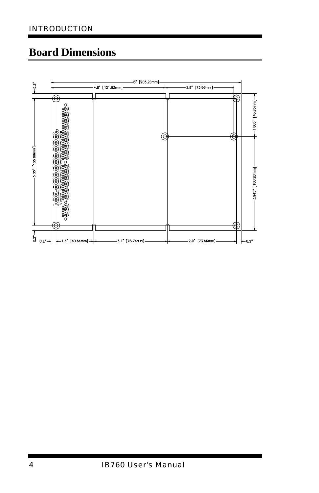## **Board Dimensions**

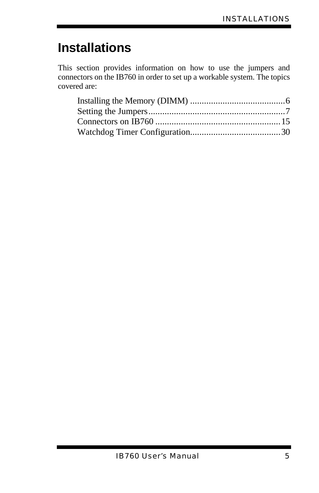## **Installations**

This section provides information on how to use the jumpers and connectors on the IB760 in order to set up a workable system. The topics covered are: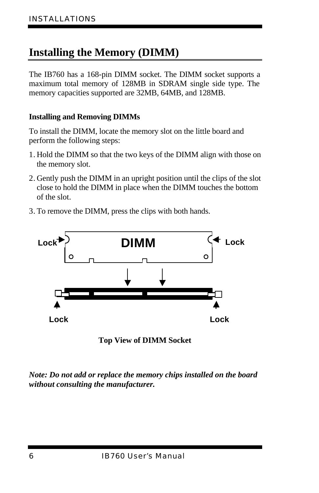## **Installing the Memory (DIMM)**

The IB760 has a 168-pin DIMM socket. The DIMM socket supports a maximum total memory of 128MB in SDRAM single side type. The memory capacities supported are 32MB, 64MB, and 128MB.

#### **Installing and Removing DIMMs**

To install the DIMM, locate the memory slot on the little board and perform the following steps:

- 1. Hold the DIMM so that the two keys of the DIMM align with those on the memory slot.
- 2. Gently push the DIMM in an upright position until the clips of the slot close to hold the DIMM in place when the DIMM touches the bottom of the slot.
- 3. To remove the DIMM, press the clips with both hands.



**Top View of DIMM Socket**

*Note: Do not add or replace the memory chips installed on the board without consulting the manufacturer.*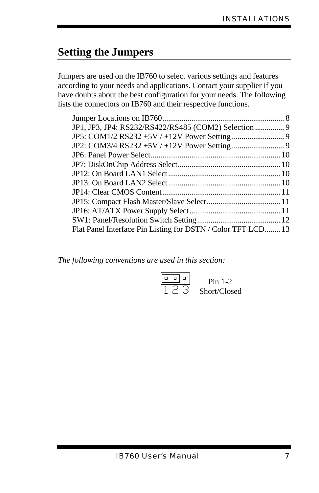## **Setting the Jumpers**

Jumpers are used on the IB760 to select various settings and features according to your needs and applications. Contact your supplier if you have doubts about the best configuration for your needs. The following lists the connectors on IB760 and their respective functions.

| JP1, JP3, JP4: RS232/RS422/RS485 (COM2) Selection  9         |  |
|--------------------------------------------------------------|--|
|                                                              |  |
|                                                              |  |
|                                                              |  |
|                                                              |  |
|                                                              |  |
|                                                              |  |
|                                                              |  |
|                                                              |  |
|                                                              |  |
|                                                              |  |
| Flat Panel Interface Pin Listing for DSTN / Color TFT LCD 13 |  |

*The following conventions are used in this section:*

$$
\begin{array}{c}\n\boxed{\Box \Box \Box \Box} \\
\hline\n1 & 2 & 3 \\
\end{array}
$$
 **Point/Closed**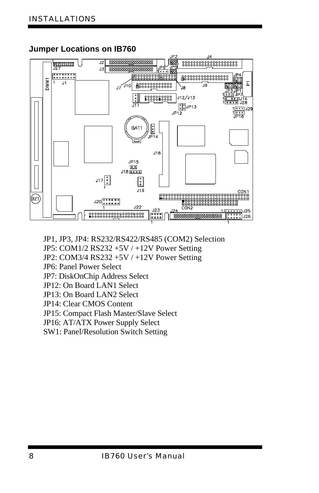

**Jumper Locations on IB760**

JP1, JP3, JP4: RS232/RS422/RS485 (COM2) Selection JP5: COM1/2 RS232 +5V / +12V Power Setting JP2: COM3/4 RS232 +5V / +12V Power Setting JP6: Panel Power Select JP7: DiskOnChip Address Select JP12: On Board LAN1 Select

- JP13: On Board LAN2 Select
- JP14: Clear CMOS Content
- JP15: Compact Flash Master/Slave Select
- JP16: AT/ATX Power Supply Select
- SW1: Panel/Resolution Switch Setting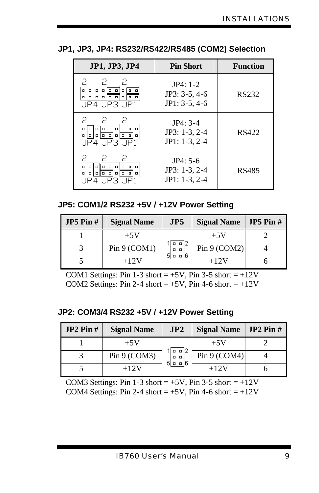| JP1, JP3, JP4                                                                                                                                                                                                            | <b>Pin Short</b>                                 | <b>Function</b> |
|--------------------------------------------------------------------------------------------------------------------------------------------------------------------------------------------------------------------------|--------------------------------------------------|-----------------|
| o o<br>$\Box$<br>$\Box$<br>$\Box$<br>$\Box$<br>$\Box$<br>$\Box$<br>$\Box$<br>$\overline{\bullet}\,\overline{\,\overline{\bullet}\,}\,\overline{\,\overline{\bullet}\,}$<br>$\Box$<br>$\Box$<br>$\Box$<br>o<br><b>TP3</b> | $JP4: 1-2$<br>$JP3: 3-5, 4-6$<br>$JPI: 3-5, 4-6$ | RS232           |
| lo o<br>$\Box$<br>$\Box$<br>$\Box$<br>α.<br>ol<br>$\Box$<br>$\Box$<br>$\Box$<br>$\Box$<br>$\Box$<br>$\Box$<br>$\Box$<br>IP3 IP                                                                                           | $JP4: 3-4$<br>$JP3: 1-3, 2-4$<br>$JPI: 1-3, 2-4$ | RS422           |
| ς<br>ر<br>Ά<br>оI<br>$D$ $D$<br>lo o<br>D.<br>оI<br>$\Box$<br>$\Box$<br>$\Box$<br>00 O<br>0<br>оI<br>o<br>TP 3                                                                                                           | $JP4: 5-6$<br>JP3: 1-3, 2-4<br>$JPI: 1-3, 2-4$   | RS485           |

**JP1, JP3, JP4: RS232/RS422/RS485 (COM2) Selection**

**JP5: COM1/2 RS232 +5V / +12V Power Setting**

| <b>JP5</b> Pin $#$ | <b>Signal Name</b> | JP5                                | <b>Signal Name</b> | <b>JP5</b> Pin $#$ |
|--------------------|--------------------|------------------------------------|--------------------|--------------------|
|                    | $+5V$              |                                    | $+5V$              |                    |
|                    | Pin 9 (COM1)       | . p. p. 12<br>$5 a $ $\sigma$ $ 6$ | Pin 9 (COM2)       |                    |
|                    | $+12V$             |                                    | $+12V$             |                    |

COM1 Settings: Pin 1-3 short =  $+5V$ , Pin 3-5 short =  $+12V$ COM2 Settings: Pin 2-4 short  $= +5V$ , Pin 4-6 short  $= +12V$ 

**JP2: COM3/4 RS232 +5V / +12V Power Setting**

| JP2 Pin# | <b>Signal Name</b> | JP2                                      | Signal Name   IP2 Pin $#$ |  |
|----------|--------------------|------------------------------------------|---------------------------|--|
|          | $+5V$              |                                          | $+5V$                     |  |
|          | Pin 9 (COM3)       | ناه ه<br>$\Box$<br>$5 a $ $\sigma$ $ b $ | Pin $9 (COM4)$            |  |
|          | $+12V$             |                                          | $+12V$                    |  |

COM3 Settings: Pin 1-3 short =  $+5V$ , Pin 3-5 short =  $+12V$ COM4 Settings: Pin 2-4 short  $= +5V$ , Pin 4-6 short  $= +12V$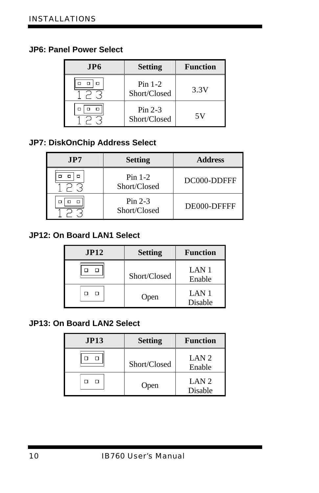### **JP6: Panel Power Select**

| JP6 | <b>Setting</b>            | <b>Function</b> |
|-----|---------------------------|-----------------|
| п   | $Pin$ 1-2<br>Short/Closed | 3.3V            |
|     | Pin $2-3$<br>Short/Closed | 5V              |

## **JP7: DiskOnChip Address Select**

| $_{\rm JP7}$ | <b>Setting</b>            | <b>Address</b> |
|--------------|---------------------------|----------------|
| n            | $Pin$ 1-2<br>Short/Closed | DC000-DDFFF    |
| ⊓            | $Pin 2-3$<br>Short/Closed | DE000-DFFFF    |

## **JP12: On Board LAN1 Select**

| JPI2 | <b>Setting</b> | <b>Function</b>  |
|------|----------------|------------------|
|      | Short/Closed   | LAN 1<br>Enable  |
|      | Open           | LAN 1<br>Disable |

## **JP13: On Board LAN2 Select**

| JPI3 | <b>Setting</b> | <b>Function</b>             |
|------|----------------|-----------------------------|
|      | Short/Closed   | LAN <sub>2</sub><br>Enable  |
|      | Open           | LAN <sub>2</sub><br>Disable |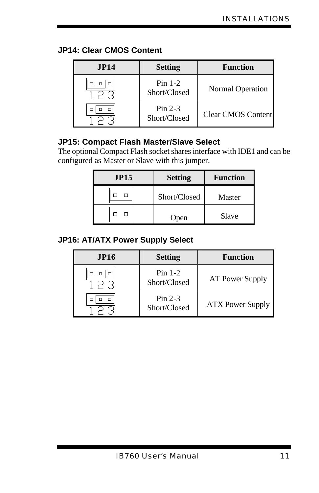#### **JP14: Clear CMOS Content**

| JP14 | <b>Setting</b>            | <b>Function</b>    |
|------|---------------------------|--------------------|
| n    | $Pin$ 1-2<br>Short/Closed | Normal Operation   |
|      | $Pin 2-3$<br>Short/Closed | Clear CMOS Content |

## **JP15: Compact Flash Master/Slave Select**

The optional Compact Flash socket shares interface with IDE1 and can be configured as Master or Slave with this jumper.

| <b>JP15</b> | <b>Setting</b> | <b>Function</b> |
|-------------|----------------|-----------------|
|             | Short/Closed   | Master          |
|             | Open           | Slave           |

#### **JP16: AT/ATX Power Supply Select**

| <b>JP16</b> | <b>Setting</b>            | <b>Function</b>         |
|-------------|---------------------------|-------------------------|
|             | $Pin$ 1-2<br>Short/Closed | AT Power Supply         |
|             | $Pin 2-3$<br>Short/Closed | <b>ATX Power Supply</b> |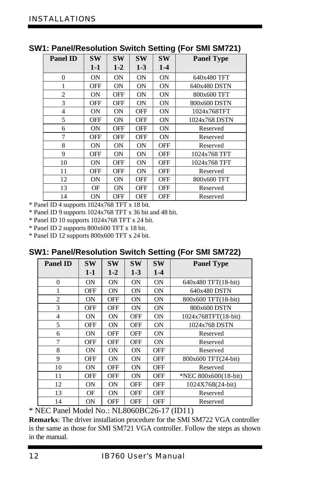| <b>Panel ID</b> | <b>SW</b> | <b>SW</b>  | <b>SW</b>  | <b>SW</b>  | <b>Panel Type</b> |
|-----------------|-----------|------------|------------|------------|-------------------|
|                 | $1-1$     | $1 - 2$    | $1-3$      | $1 - 4$    |                   |
| $\Omega$        | ON        | ON         | 0N         | ON         | 640x480 TFT       |
| 1               | OFF       | ON         | ON         | ON         | 640x480 DSTN      |
| $\overline{c}$  | OΝ        | OFF        | <b>ON</b>  | ON         | 800x600 TFT       |
| 3               | OFF       | <b>OFF</b> | ON         | ON         | 800x600 DSTN      |
| $\overline{4}$  | <b>ON</b> | <b>ON</b>  | OFF        | ON         | 1024x768TFT       |
| 5               | OFF       | OΝ         | <b>OFF</b> | ON         | 1024x768 DSTN     |
| 6               | ON        | <b>OFF</b> | <b>OFF</b> | ON         | Reserved          |
| 7               | OFF       | OFF        | <b>OFF</b> | <b>ON</b>  | Reserved          |
| 8               | OΝ        | OΝ         | ON         | <b>OFF</b> | Reserved          |
| 9               | OFF       | ON         | ON         | <b>OFF</b> | 1024x768 TFT      |
| 10              | <b>ON</b> | OFF        | 0N         | OFF        | 1024x768 TFT      |
| 11              | OFF       | OFF        | ON         | <b>OFF</b> | Reserved          |
| 12              | OΝ        | ON         | <b>OFF</b> | <b>OFF</b> | 800x600 TFT       |
| 13              | OF        | <b>ON</b>  | <b>OFF</b> | <b>OFF</b> | Reserved          |
| 14              | ON        | OFF        | OFF        | <b>OFF</b> | Reserved          |

#### **SW1: Panel/Resolution Switch Setting (For SMI SM721)**

\* Panel ID 4 supports 1024x768 TFT x 18 bit.

\* Panel ID 9 supports 1024x768 TFT x 36 bit and 48 bit.

\* Panel ID 10 supports 1024x768 TFT x 24 bit.

\* Panel ID 2 supports 800x600 TFT x 18 bit.

\* Panel ID 12 supports 800x600 TFT x 24 bit.

#### **SW1: Panel/Resolution Switch Setting (For SMI SM722)**

| <b>Panel ID</b> | <b>SW</b>  | <b>SW</b>  | <b>SW</b>  | <b>SW</b>  | <b>Panel Type</b>    |  |
|-----------------|------------|------------|------------|------------|----------------------|--|
|                 | $1-1$      | $1-2$      | $1 - 3$    | $1-4$      |                      |  |
| $\Omega$        | ON         | ON         | ON         | <b>ON</b>  | 640x480 TFT(18-bit)  |  |
| 1               | OFF        | <b>ON</b>  | ON         | <b>ON</b>  | 640x480 DSTN         |  |
| $\overline{c}$  | ON         | OFF        | <b>ON</b>  | <b>ON</b>  | 800x600 TFT(18-bit)  |  |
| 3               | <b>OFF</b> | OFF        | <b>ON</b>  | <b>ON</b>  | 800x600 DSTN         |  |
| 4               | 0N         | <b>ON</b>  | <b>OFF</b> | <b>ON</b>  | 1024x768TFT(18-bit)  |  |
| 5               | <b>OFF</b> | <b>ON</b>  | <b>OFF</b> | <b>ON</b>  | 1024x768 DSTN        |  |
| 6               | <b>ON</b>  | <b>OFF</b> | <b>OFF</b> | <b>ON</b>  | Reserved             |  |
| 7               | <b>OFF</b> | <b>OFF</b> | <b>OFF</b> | <b>ON</b>  | Reserved             |  |
| 8               | 0N         | <b>ON</b>  | <b>ON</b>  | OFF        | Reserved             |  |
| 9               | OFF        | ON         | ON         | <b>OFF</b> | 800x600 TFT(24-bit)  |  |
| 10              | 0N         | OFF        | <b>ON</b>  | <b>OFF</b> | Reserved             |  |
| 11              | OFF        | <b>OFF</b> | ON         | <b>OFF</b> | *NEC 800x600(18-bit) |  |
| 12              | ON         | <b>ON</b>  | <b>OFF</b> | OFF        | 1024X768(24-bit)     |  |
| 13              | OF         | <b>ON</b>  | <b>OFF</b> | <b>OFF</b> | Reserved             |  |
| 14              | OΝ         | OFF        | OFF        | OFF        | Reserved             |  |

\* NEC Panel Model No.: NL8060BC26-17 (ID11)

**Remarks**: The driver installation procedure for the SMI SM722 VGA controller is the same as those for SMI SM721 VGA controller. Follow the steps as shown in the manual.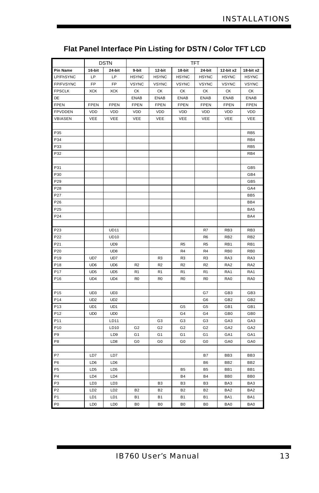|                 |                 | <b>DSTN</b>     | TFT            |                |                |                |                 |                 |
|-----------------|-----------------|-----------------|----------------|----------------|----------------|----------------|-----------------|-----------------|
| <b>Pin Name</b> | 16-bit          | 24-bit          | 9-bit          | 12-bit         | 18-bit         | 24-bit         | 12-bit x2       | 18-bit x2       |
| LP/FhSYNC       | LP              | LP              | <b>HSYNC</b>   | <b>HSYNC</b>   | <b>HSYNC</b>   | <b>HSYNC</b>   | <b>HSYNC</b>    | <b>HSYNC</b>    |
| FP/FVSYNC       | FP              | FP              | <b>VSYNC</b>   | <b>VSYNC</b>   | <b>VSYNC</b>   | <b>VSYNC</b>   | <b>VSYNC</b>    | <b>VSYNC</b>    |
| <b>FPSCLK</b>   | <b>XCK</b>      | <b>XCK</b>      | СK             | СK             | СK             | СK             | СK              | СK              |
| DE              |                 |                 | <b>ENAB</b>    | ENAB           | ENAB           | <b>ENAB</b>    | <b>ENAB</b>     | ENAB            |
| <b>FPEN</b>     | <b>FPEN</b>     | <b>FPEN</b>     | <b>FPEN</b>    | <b>FPEN</b>    | <b>FPEN</b>    | <b>FPEN</b>    | <b>FPEN</b>     | <b>FPEN</b>     |
| FPVDDEN         | VDD             | VDD             | VDD            | VDD            | VDD            | VDD            | VDD             | VDD             |
| VBIASEN         | VEE             | VEE             | VEE            | VEE            | VEE            | VEE            | VEE             | VEE             |
|                 |                 |                 |                |                |                |                |                 |                 |
| P35             |                 |                 |                |                |                |                |                 | RB <sub>5</sub> |
| P34             |                 |                 |                |                |                |                |                 | RB4             |
| P33             |                 |                 |                |                |                |                |                 | RB <sub>5</sub> |
| P32             |                 |                 |                |                |                |                |                 | RB4             |
|                 |                 |                 |                |                |                |                |                 |                 |
| P31             |                 |                 |                |                |                |                |                 | GB <sub>5</sub> |
| P30             |                 |                 |                |                |                |                |                 | GB4             |
| P29             |                 |                 |                |                |                |                |                 | GB <sub>5</sub> |
| P28             |                 |                 |                |                |                |                |                 | GA4             |
| P27             |                 |                 |                |                |                |                |                 | BB <sub>5</sub> |
| P26             |                 |                 |                |                |                |                |                 | BB4             |
| P <sub>25</sub> |                 |                 |                |                |                |                |                 | BA <sub>5</sub> |
| P24             |                 |                 |                |                |                |                |                 | BA4             |
|                 |                 |                 |                |                |                |                |                 |                 |
| P23             |                 | <b>UD11</b>     |                |                |                | R7             | RB <sub>3</sub> | RB <sub>3</sub> |
| P22             |                 | <b>UD10</b>     |                |                |                | R <sub>6</sub> | RB <sub>2</sub> | RB <sub>2</sub> |
| P21             |                 | UD9             |                |                | R <sub>5</sub> | R <sub>5</sub> | RB1             | RB1             |
| P20             |                 | UD8             |                |                | R4             | R <sub>4</sub> | RB <sub>0</sub> | RB <sub>0</sub> |
| P <sub>19</sub> | UD7             | UD7             |                | R <sub>3</sub> | R <sub>3</sub> | R <sub>3</sub> | RA3             | RA3             |
| P <sub>18</sub> | UD <sub>6</sub> | UD <sub>6</sub> | R2             | R2             | R2             | R2             | RA <sub>2</sub> | RA <sub>2</sub> |
| P <sub>17</sub> | UD <sub>5</sub> | UD <sub>5</sub> | R <sub>1</sub> | R <sub>1</sub> | R <sub>1</sub> | R <sub>1</sub> | RA1             | RA1             |
| P <sub>16</sub> | UD <sub>4</sub> | UD4             | R <sub>0</sub> | R <sub>0</sub> | R <sub>0</sub> | R <sub>0</sub> | RA0             | RA0             |
|                 |                 |                 |                |                |                |                |                 |                 |
| P <sub>15</sub> | UD <sub>3</sub> | UD3             |                |                |                | G7             | GB <sub>3</sub> | GB <sub>3</sub> |
| P14             | UD <sub>2</sub> | UD <sub>2</sub> |                |                |                | G <sub>6</sub> | GB <sub>2</sub> | GB <sub>2</sub> |
| P <sub>13</sub> | UD1             | UD1             |                |                | G <sub>5</sub> | G <sub>5</sub> | GB1             | GB1             |
| P <sub>12</sub> | UD <sub>0</sub> | UD <sub>0</sub> |                |                | G4             | G4             | GB <sub>0</sub> | GB <sub>0</sub> |
| P11             |                 | LD11            |                | G3             | G3             | G <sub>3</sub> | GA3             | GA3             |
| P10             |                 | LD10            | G <sub>2</sub> | G <sub>2</sub> | G <sub>2</sub> | G <sub>2</sub> | GA <sub>2</sub> | GA <sub>2</sub> |
| P9              |                 | LD9             | G <sub>1</sub> | G <sub>1</sub> | G <sub>1</sub> | G <sub>1</sub> | GA <sub>1</sub> | GA <sub>1</sub> |
| P <sub>8</sub>  |                 | LD <sub>8</sub> | G <sub>0</sub> | G <sub>0</sub> | G <sub>0</sub> | G <sub>0</sub> | GA0             | GA0             |
|                 |                 |                 |                |                |                |                |                 |                 |
| P7              | LD7             | LD7             |                |                |                | B7             | BB <sub>3</sub> | BB <sub>3</sub> |
| P <sub>6</sub>  | LD6             | LD6             |                |                |                | B <sub>6</sub> | BB <sub>2</sub> | BB <sub>2</sub> |
| P <sub>5</sub>  | LD <sub>5</sub> | LD <sub>5</sub> |                |                | <b>B5</b>      | B <sub>5</sub> | BB1             | BB1             |
| P <sub>4</sub>  | LD4             | LD4             |                |                | <b>B4</b>      | <b>B4</b>      | BB <sub>0</sub> | BB <sub>0</sub> |
| P <sub>3</sub>  | LD <sub>3</sub> | LD <sub>3</sub> |                | B <sub>3</sub> | B <sub>3</sub> | B <sub>3</sub> | BA3             | BA3             |
| P <sub>2</sub>  | LD <sub>2</sub> | LD <sub>2</sub> | <b>B2</b>      | <b>B2</b>      | <b>B2</b>      | <b>B2</b>      | BA <sub>2</sub> | BA <sub>2</sub> |
| P <sub>1</sub>  | LD1             | LD1             | <b>B1</b>      | <b>B1</b>      | <b>B1</b>      | <b>B1</b>      | BA1             | BA1             |
| P <sub>0</sub>  | LD <sub>0</sub> | LD <sub>0</sub> | B <sub>0</sub> | B <sub>0</sub> | B <sub>0</sub> | B <sub>0</sub> | BA0             | BA0             |

## **Flat Panel Interface Pin Listing for DSTN / Color TFT LCD**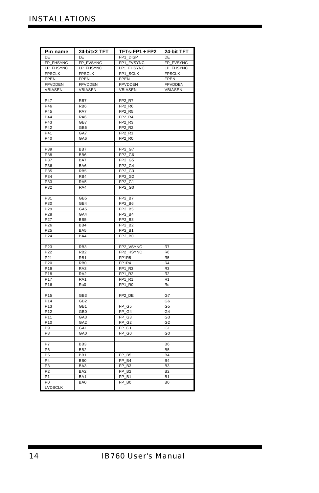| Pin name        | 24-bitx2 TFT           | TFTs:FP1 + FP2              | 24-bit TFT                       |
|-----------------|------------------------|-----------------------------|----------------------------------|
| DE              | DE                     | FP1_DISP                    | DE                               |
| FP FHSYNC       | FP FVSYNC              | FP1 FVSYNC                  | FP FVSYNC                        |
| LP FHSYNC       | LP FHSYNC              | LP1_FHSYNC                  | LP_FHSYNC                        |
| <b>FPSCLK</b>   | <b>FPSCLK</b>          | FP1_SCLK                    | <b>FPSCLK</b>                    |
| <b>FPEN</b>     | FPEN                   | FPEN                        | FPEN                             |
| <b>FPVDDEN</b>  | <b>FPVDDEN</b>         | <b>FPVDDEN</b>              | <b>FPVDDEN</b>                   |
| VBIASEN         | VBIASEN                | VBIASEN                     | VBIASEN                          |
|                 |                        |                             |                                  |
| P47             | RB7                    | FP2_R7                      |                                  |
| P46             | RB <sub>6</sub>        | FP <sub>2_R6</sub>          |                                  |
| P45             | RA7                    | FP <sub>2_R5</sub>          |                                  |
| P44             | RA6                    | FP <sub>2_R4</sub>          |                                  |
| P43             | GB7                    | FP2 R3                      |                                  |
| P42             | GB <sub>6</sub>        | FP <sub>2_R2</sub>          |                                  |
| P41             | GA7                    | FP <sub>2_R1</sub>          |                                  |
| P40             | GA6                    | FP2 R0                      |                                  |
|                 |                        |                             |                                  |
| P39             | BB7                    | FP2_G7                      |                                  |
| P38             | BB <sub>6</sub>        | FP2 G6                      |                                  |
| P37             | BA7                    | $\overline{\text{FP2}}$ _G5 |                                  |
| P36             | BA6                    | FP2_G4                      |                                  |
| P35             | RB <sub>5</sub>        | FP2_G3                      |                                  |
| P34             | RB4                    | FP <sub>2_G2</sub>          |                                  |
| P33             | RA <sub>5</sub>        | FP2 G1                      |                                  |
| P32             | RA4                    | FP2 G0                      |                                  |
|                 |                        |                             |                                  |
| P31             | GB <sub>5</sub>        | FP2 B7                      |                                  |
| P30             | GB4                    | FP2_B6                      |                                  |
| P <sub>29</sub> | GA <sub>5</sub>        | FP2<br>B <sub>5</sub>       |                                  |
| P28             | GA4                    | FP2 B4                      |                                  |
| P27             | BB <sub>5</sub>        | FP2 B3                      |                                  |
| P26             | BB4                    | FP2_B2                      |                                  |
| P <sub>25</sub> | BA <sub>5</sub>        | FP2 B1                      |                                  |
| P <sub>24</sub> | BA4                    | $FP2_B0$                    |                                  |
|                 |                        |                             |                                  |
| P23             | RB <sub>3</sub>        | FP2_VSYNC                   | R7                               |
| P <sub>22</sub> | RB <sub>2</sub>        | FP2 HSYNC                   | R <sub>6</sub>                   |
| P21             | RB <sub>1</sub>        | FP1R5                       | R <sub>5</sub>                   |
| P <sub>20</sub> | RB <sub>0</sub>        | FP1R4                       | R <sub>4</sub>                   |
| P <sub>19</sub> | RA3                    | FP1_R3                      | R <sub>3</sub>                   |
| P <sub>18</sub> | RA <sub>2</sub>        | $FP1_R2$                    | R2                               |
| P17             | RA <sub>1</sub>        | FP1 R1                      | R <sub>1</sub>                   |
| P <sub>16</sub> | Ra0                    | <b>FP1 R0</b>               | Ro                               |
|                 |                        |                             |                                  |
| P <sub>15</sub> | GB <sub>3</sub>        | FP <sub>2_DE</sub>          | G7                               |
| P <sub>14</sub> | GB <sub>2</sub>        |                             | G <sub>6</sub>                   |
| P <sub>13</sub> | GB1                    | FP G5                       | G <sub>5</sub>                   |
| P <sub>12</sub> | GB <sub>0</sub>        | FP G4                       | G4                               |
| P11             |                        |                             |                                  |
| P <sub>10</sub> | GA3                    | FP_G3                       | G <sub>3</sub>                   |
| P <sub>9</sub>  | GA <sub>2</sub>        | FP G2<br>$FP_G1$            | G <sub>2</sub>                   |
| P8              | GA <sub>1</sub><br>GA0 | FP.<br>G <sub>0</sub>       | G <sub>1</sub><br>G <sub>0</sub> |
|                 |                        |                             |                                  |
| P7              |                        |                             |                                  |
| P <sub>6</sub>  | BB <sub>3</sub>        |                             | B <sub>6</sub>                   |
|                 | BB <sub>2</sub>        |                             | B <sub>5</sub>                   |
| P <sub>5</sub>  | BB <sub>1</sub>        | FP B5                       | <b>B4</b>                        |
| P <sub>4</sub>  | BB <sub>0</sub>        | FP_B4                       | <b>B4</b>                        |
| P <sub>3</sub>  | BA3                    | $FP_B3$                     | B <sub>3</sub>                   |
| P <sub>2</sub>  | BA <sub>2</sub>        | FP B2                       | <b>B2</b>                        |
| P <sub>1</sub>  | BA <sub>1</sub>        | FP B1                       | <b>B1</b>                        |
| P <sub>0</sub>  | BA0                    | FP_B0                       | B <sub>0</sub>                   |
| LVDSCLK         |                        |                             |                                  |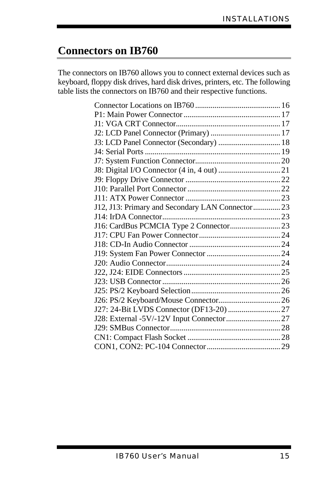## **Connectors on IB760**

The connectors on IB760 allows you to connect external devices such as keyboard, floppy disk drives, hard disk drives, printers, etc. The following table lists the connectors on IB760 and their respective functions.

| J12, J13: Primary and Secondary LAN Connector  23 |  |
|---------------------------------------------------|--|
|                                                   |  |
|                                                   |  |
|                                                   |  |
|                                                   |  |
|                                                   |  |
|                                                   |  |
|                                                   |  |
|                                                   |  |
|                                                   |  |
|                                                   |  |
|                                                   |  |
|                                                   |  |
|                                                   |  |
|                                                   |  |
|                                                   |  |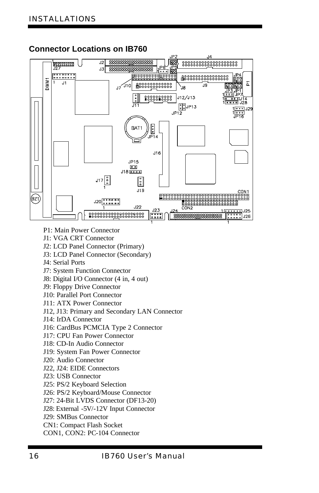#### **Connector Locations on IB760**



- P1: Main Power Connector
- J1: VGA CRT Connector
- J2: LCD Panel Connector (Primary)
- J3: LCD Panel Connector (Secondary)
- J4: Serial Ports
- J7: System Function Connector
- J8: Digital I/O Connector (4 in, 4 out)
- J9: Floppy Drive Connector
- J10: Parallel Port Connector
- J11: ATX Power Connector
- J12, J13: Primary and Secondary LAN Connector
- J14: IrDA Connector
- J16: CardBus PCMCIA Type 2 Connector
- J17: CPU Fan Power Connector
- J18: CD-In Audio Connector
- J19: System Fan Power Connector
- J20: Audio Connector
- J22, J24: EIDE Connectors
- J23: USB Connector
- J25: PS/2 Keyboard Selection
- J26: PS/2 Keyboard/Mouse Connector
- J27: 24-Bit LVDS Connector (DF13-20)
- J28: External -5V/-12V Input Connector
- J29: SMBus Connector
- CN1: Compact Flash Socket
- CON1, CON2: PC-104 Connector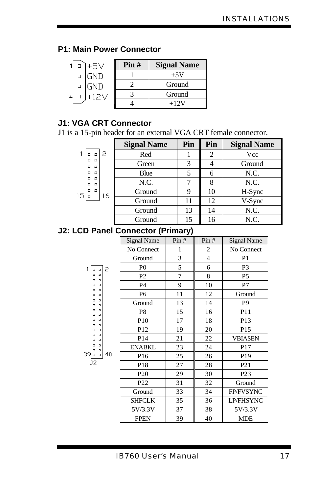### **P1: Main Power Connector**

|        | $+5V$ | Pin# | <b>Signal Name</b> |
|--------|-------|------|--------------------|
| $\Box$ | GND   |      | $+5V$              |
|        | GND   |      | Ground             |
|        |       |      | Ground             |
|        |       |      | $+12V$             |

## **J1: VGA CRT Connector**

J1 is a 15-pin header for an external VGA CRT female connector.

|    |                            |    | <b>Signal Name</b> | Pin | Pin | <b>Signal Name</b> |
|----|----------------------------|----|--------------------|-----|-----|--------------------|
|    | $\Box$<br>о                | 2  | Red                |     | 2   | Vcc                |
|    | $\Box$<br>α<br>Ξ<br>$\Box$ |    | Green              |     |     | Ground             |
|    | $\Box$<br>$\Box$           |    | Blue               |     |     | N.C.               |
|    | o<br>o<br>Ξ<br>p           |    | N.C.               |     |     | N.C.               |
| 15 | $\Box$<br>o<br>$\Box$      | 16 | Ground             | Q   | 10  | H-Sync             |
|    |                            |    | Ground             | 11  | 12  | V-Sync             |
|    |                            |    | Ground             | 13  | 14  | N.C.               |
|    |                            |    | Ground             | 15  | 16  | N.C.               |

## **J2: LCD Panel Connector (Primary)**

|                                     | <b>Signal Name</b> | Pin# | Pin #          | <b>Signal Name</b> |
|-------------------------------------|--------------------|------|----------------|--------------------|
|                                     | No Connect         | 1    | $\mathfrak{2}$ | No Connect         |
|                                     | Ground             | 3    | $\overline{4}$ | P <sub>1</sub>     |
| 2<br>1<br>o<br>۰                    | P <sub>0</sub>     | 5    | 6              | P <sub>3</sub>     |
| o<br>o<br>α<br>۰                    | P <sub>2</sub>     | 7    | 8              | P <sub>5</sub>     |
| o<br>۰                              | P <sub>4</sub>     | 9    | 10             | P7                 |
| o<br>o<br>o<br>۰                    | P <sub>6</sub>     | 11   | 12             | Ground             |
| ۰<br>o<br>o<br>۰                    | Ground             | 13   | 14             | P <sub>9</sub>     |
| o<br>۰<br>o<br>$\Box$               | P <sub>8</sub>     | 15   | 16             | P11                |
| o<br>۰<br>o<br>o                    | P <sub>10</sub>    | 17   | 18             | P <sub>13</sub>    |
| o<br>O                              | P <sub>12</sub>    | 19   | 20             | P15                |
| o<br>۰<br>o<br>o                    | P <sub>14</sub>    | 21   | 22             | <b>VBIASEN</b>     |
| o<br>۰<br>۰<br>o<br>39 -<br>40<br>o | <b>ENABKL</b>      | 23   | 24             | P17                |
|                                     | P16                | 25   | 26             | P19                |
| J2                                  | P18                | 27   | 28             | P <sub>21</sub>    |
|                                     | P <sub>20</sub>    | 29   | 30             | P <sub>23</sub>    |
|                                     | P22                | 31   | 32             | Ground             |
|                                     | Ground             | 33   | 34             | <b>FP/FVSYNC</b>   |
|                                     | <b>SHFCLK</b>      | 35   | 36             | LP/FHSYNC          |
|                                     | 5V/3.3V            | 37   | 38             | 5V/3.3V            |
|                                     | <b>FPEN</b>        | 39   | 40             | <b>MDE</b>         |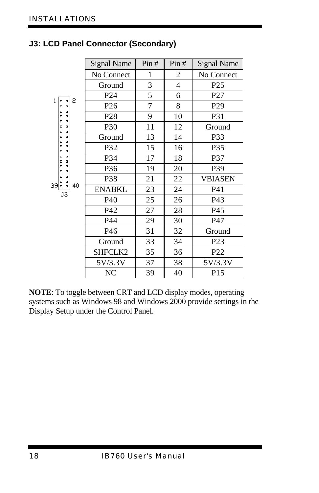|                            | <b>Signal Name</b> | Pin# | Pin#           | <b>Signal Name</b> |
|----------------------------|--------------------|------|----------------|--------------------|
|                            | No Connect         | 1    | 2              | No Connect         |
|                            | Ground             | 3    | $\overline{4}$ | P <sub>25</sub>    |
| 2<br>1                     | P <sub>24</sub>    | 5    | 6              | P <sub>27</sub>    |
| ۰<br>o<br>o<br>o           | P <sub>26</sub>    | 7    | 8              | P <sub>29</sub>    |
| o<br>o<br>o<br>o<br>o<br>o | P <sub>28</sub>    | 9    | 10             | P31                |
| o<br>o<br>o<br>o           | P30                | 11   | 12             | Ground             |
| o<br>o<br>o<br>o           | Ground             | 13   | 14             | P33                |
| o<br>o<br>o<br>o           | P32                | 15   | 16             | P35                |
| o<br>o<br>o<br>o           | P34                | 17   | 18             | P37                |
| o<br>o<br>o<br>o           | P36                | 19   | 20             | P39                |
| o<br>o<br>o<br>o           | P38                | 21   | 22             | <b>VBIASEN</b>     |
| 39∣••<br>40<br>JЗ          | <b>ENABKL</b>      | 23   | 24             | P41                |
|                            | P40                | 25   | 26             | P43                |
|                            | P42                | 27   | 28             | P45                |
|                            | P44                | 29   | 30             | P47                |
|                            | P46                | 31   | 32             | Ground             |
|                            | Ground             | 33   | 34             | P <sub>2</sub> 3   |
|                            | SHFCLK2            | 35   | 36             | P <sub>22</sub>    |
|                            | 5V/3.3V            | 37   | 38             | 5V/3.3V            |
|                            | NC                 | 39   | 40             | P <sub>15</sub>    |

## **J3: LCD Panel Connector (Secondary)**

**NOTE**: To toggle between CRT and LCD display modes, operating systems such as Windows 98 and Windows 2000 provide settings in the Display Setup under the Control Panel.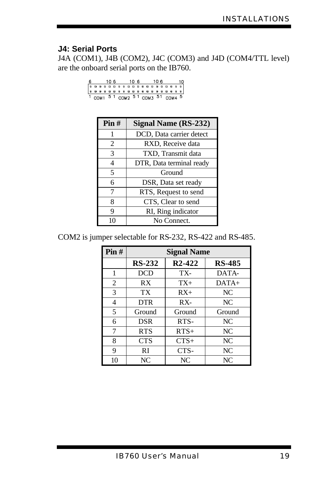#### **J4: Serial Ports**

J4A (COM1), J4B (COM2), J4C (COM3) and J4D (COM4/TTL level) are the onboard serial ports on the IB760.

| Pin# | <b>Signal Name (RS-232)</b> |
|------|-----------------------------|
|      | DCD, Data carrier detect    |
| 2    | RXD, Receive data           |
| 3    | TXD, Transmit data          |
| 4    | DTR, Data terminal ready    |
| 5    | Ground                      |
| 6    | DSR, Data set ready         |
| 7    | RTS, Request to send        |
| 8    | CTS, Clear to send          |
| 9    | RI, Ring indicator          |
|      | No Connect.                 |

COM2 is jumper selectable for RS-232, RS-422 and RS-485.

| Pin#           | <b>Signal Name</b> |          |               |  |  |  |
|----------------|--------------------|----------|---------------|--|--|--|
|                | <b>RS-232</b>      | $R2-422$ | <b>RS-485</b> |  |  |  |
| 1              | <b>DCD</b>         | TX-      | DATA-         |  |  |  |
| $\overline{c}$ | RX                 | $TX+$    | $DATA+$       |  |  |  |
| 3              | TX                 | $RX+$    | NC.           |  |  |  |
| $\overline{4}$ | <b>DTR</b>         | $RX -$   | NC.           |  |  |  |
| 5              | Ground             | Ground   | Ground        |  |  |  |
| 6              | <b>DSR</b>         | RTS-     | NC.           |  |  |  |
| 7              | <b>RTS</b>         | $RTS+$   | NC.           |  |  |  |
| 8              | <b>CTS</b>         | $CTS+$   | NC.           |  |  |  |
| 9              | RI                 | CTS-     | NC.           |  |  |  |
| 10             | NC                 | NC.      | NC            |  |  |  |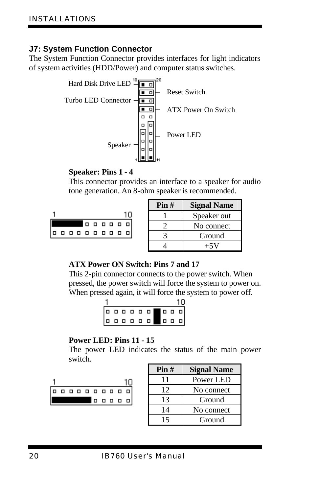#### **J7: System Function Connector**

The System Function Connector provides interfaces for light indicators of system activities (HDD/Power) and computer status switches.



#### **Speaker: Pins 1 - 4**

This connector provides an interface to a speaker for audio tone generation. An 8-ohm speaker is recommended.



| Pin# | <b>Signal Name</b> |
|------|--------------------|
|      | Speaker out        |
|      | No connect         |
|      | Ground             |
|      | $+5V$              |

#### **ATX Power ON Switch: Pins 7 and 17**

This 2-pin connector connects to the power switch. When pressed, the power switch will force the system to power on. When pressed again, it will force the system to power off.

|  |  |                                           |  | 10 |
|--|--|-------------------------------------------|--|----|
|  |  |                                           |  |    |
|  |  | $\vert$ o o o o o o $\vert$ o o o $\vert$ |  |    |

#### **Power LED: Pins 11 - 15**

The power LED indicates the status of the main power switch.



| Pin# | <b>Signal Name</b> |
|------|--------------------|
| 11   | Power LED          |
| 12   | No connect         |
| 13   | Ground             |
| 14   | No connect         |
| 15   | Ground             |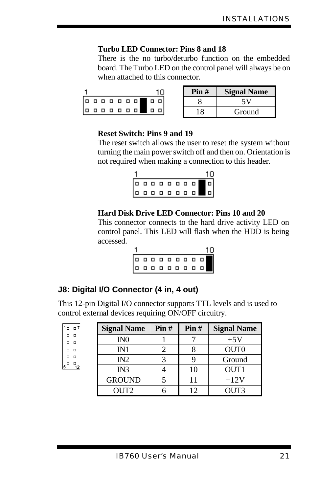#### **Turbo LED Connector: Pins 8 and 18**

There is the no turbo/deturbo function on the embedded board. The Turbo LED on the control panel will always be on when attached to this connector.

|  |  |  |  | 0000000000 |  |
|--|--|--|--|------------|--|
|  |  |  |  |            |  |

| Pin# | <b>Signal Name</b> |
|------|--------------------|
|      |                    |
| 18   | Ground             |

#### **Reset Switch: Pins 9 and 19**

The reset switch allows the user to reset the system without turning the main power switch off and then on. Orientation is not required when making a connection to this header.

| $\sqrt{2}$                  |  |  |  |  | ا ه ا |
|-----------------------------|--|--|--|--|-------|
| $ $ o o o o o o o $ $ o $ $ |  |  |  |  |       |

#### **Hard Disk Drive LED Connector: Pins 10 and 20**

This connector connects to the hard drive activity LED on control panel. This LED will flash when the HDD is being accessed.

|                                                                                                                                                 |  |  |  |  | 10 |
|-------------------------------------------------------------------------------------------------------------------------------------------------|--|--|--|--|----|
| $\begin{array}{ ccc } \hline \textbf{O} & \textbf{O} & \textbf{O} & \textbf{O} & \textbf{O} & \textbf{O} & \textbf{O} & \textbf{O} \end{array}$ |  |  |  |  |    |
| 000000000                                                                                                                                       |  |  |  |  |    |

#### **J8: Digital I/O Connector (4 in, 4 out)**

This 12-pin Digital I/O connector supports TTL levels and is used to control external devices requiring ON/OFF circuitry.

| $10$ $01$   |   |  |
|-------------|---|--|
| ά           | п |  |
| α           | α |  |
| α           | α |  |
| □           | □ |  |
| $6^\square$ |   |  |
|             |   |  |

| <b>Signal Name</b> | $\text{Pin }#$ | $\text{Pin }#$ | <b>Signal Name</b> |
|--------------------|----------------|----------------|--------------------|
| IN <sub>0</sub>    |                |                | $+5V$              |
| IN1                |                |                | <b>OUTO</b>        |
| IN2                |                |                | Ground             |
| IN3                |                | 10             | OUT <sub>1</sub>   |
| <b>GROUND</b>      |                |                | $+12V$             |
| OUT2               |                | 12             | OUT3               |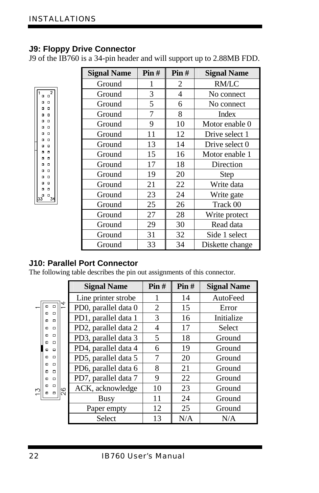#### **J9: Floppy Drive Connector**

J9 of the IB760 is a 34-pin header and will support up to 2.88MB FDD.

|                          | <b>Signal Name</b> | Pin# | Pin# | <b>Signal Name</b> |
|--------------------------|--------------------|------|------|--------------------|
|                          | Ground             | 1    | 2    | <b>RM/LC</b>       |
| $\overline{a}$<br>o<br>α | Ground             | 3    | 4    | No connect         |
| α<br>o<br>α<br>п         | Ground             | 5    | 6    | No connect         |
| α<br>о                   | Ground             | 7    | 8    | Index              |
| $\Box$<br>п<br>α<br>о    | Ground             | 9    | 10   | Motor enable 0     |
| Ω<br>п                   | Ground             | 11   | 12   | Drive select 1     |
| ο<br>o<br>Ω<br>п         | Ground             | 13   | 14   | Drive select 0     |
| o<br>o<br>۰<br>۰         | Ground             | 15   | 16   | Motor enable 1     |
| o<br>n                   | Ground             | 17   | 18   | Direction          |
| α<br>п<br>$\Box$<br>п    | Ground             | 19   | 20   | Step               |
| α<br>п<br>$\Box$<br>п    | Ground             | 21   | 22   | Write data         |
| $\Box$<br>۵<br>33<br>34  | Ground             | 23   | 24   | Write gate         |
|                          | Ground             | 25   | 26   | Track 00           |
|                          | Ground             | 27   | 28   | Write protect      |
|                          | Ground             | 29   | 30   | Read data          |
|                          | Ground             | 31   | 32   | Side 1 select      |
|                          | Ground             | 33   | 34   | Diskette change    |

## **J10: Parallel Port Connector**

The following table describes the pin out assignments of this connector.

|                                      | <b>Signal Name</b>   | Pin# | Pin# | <b>Signal Name</b> |
|--------------------------------------|----------------------|------|------|--------------------|
|                                      | Line printer strobe  | 1    | 14   | AutoFeed           |
| 4<br>$\Box$<br>$\Box$                | PD0, parallel data 0 | 2    | 15   | Error              |
| $\Box$<br>$\Box$<br>$\Box$<br>$\Box$ | PD1, parallel data 1 | 3    | 16   | Initialize         |
| $\Box$<br>$\Box$                     | PD2, parallel data 2 | 4    | 17   | Select             |
| $\Box$<br>$\Box$<br>$\Box$<br>$\Box$ | PD3, parallel data 3 | 5    | 18   | Ground             |
| $\Box$<br>$\Box$                     | PD4, parallel data 4 | 6    | 19   | Ground             |
| $\Box$<br>$\Box$                     | PD5, parallel data 5 | 7    | 20   | Ground             |
| $\Box$<br>$\Box$<br>$\Box$<br>$\Box$ | PD6, parallel data 6 | 8    | 21   | Ground             |
| $\Box$<br>$\Box$                     | PD7, parallel data 7 | 9    | 22   | Ground             |
| $\Box$<br>$\Box$<br>26<br>. .        | ACK, acknowledge     | 10   | 23   | Ground             |
|                                      | Busy                 | 11   | 24   | Ground             |
|                                      | Paper empty          | 12   | 25   | Ground             |
|                                      | Select               | 13   | N/A  | N/A                |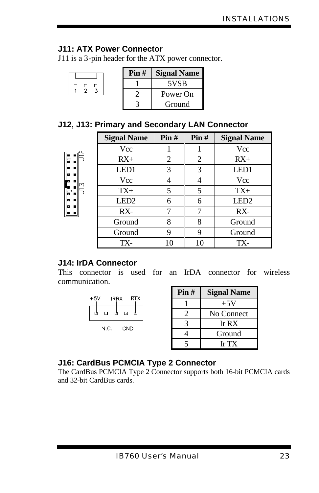#### **J11: ATX Power Connector**

 $\frac{1}{1}$ 

J11 is a 3-pin header for the ATX power connector.

|  | Pin# | <b>Signal Name</b> |
|--|------|--------------------|
|  |      | 5VSB               |
|  |      | Power On           |
|  |      | Ground             |

#### **J12, J13: Primary and Secondary LAN Connector**

|                       | <b>Signal Name</b> | Pin# | Pin# | <b>Signal Name</b> |
|-----------------------|--------------------|------|------|--------------------|
|                       | Vcc                |      |      | Vcc                |
| 酉<br>ី ធ              | $RX+$              | 2    | 2    | $RX+$              |
| . .<br>0 G            | LED <sub>1</sub>   | 3    | 3    | LED <sub>1</sub>   |
| . .                   | Vcc                | 4    | 4    | Vcc                |
| . .<br>- -<br>- a     | $TX+$              | 5    | 5    | $TX+$              |
| . .                   | LED <sub>2</sub>   | 6    | 6    | LED <sub>2</sub>   |
| . .<br>$\blacksquare$ | $RX -$             | 7    | 7    | RX-                |
|                       | Ground             | 8    | 8    | Ground             |
|                       | Ground             | 9    | 9    | Ground             |
|                       | TX-                | 10   | 10   | TX-                |

#### **J14: IrDA Connector**

This connector is used for an IrDA connector for wireless communication.



| $\text{Pin }#$ | <b>Signal Name</b> |
|----------------|--------------------|
|                | $+5V$              |
| 2              | No Connect         |
|                | Ir $RX$            |
|                | Ground             |
|                | Ir TX              |

#### **J16: CardBus PCMCIA Type 2 Connector**

The CardBus PCMCIA Type 2 Connector supports both 16-bit PCMCIA cards and 32-bit CardBus cards.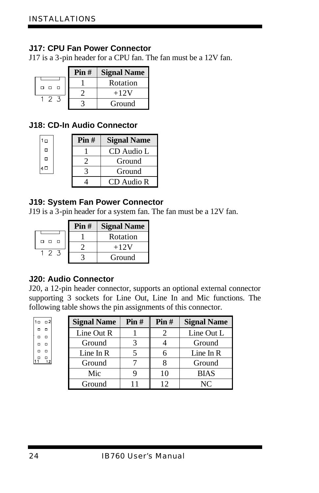#### **J17: CPU Fan Power Connector**

J17 is a 3-pin header for a CPU fan. The fan must be a 12V fan.

|                      | Pin# | <b>Signal Name</b> |
|----------------------|------|--------------------|
| $\Box$ $\Box$ $\Box$ |      | Rotation           |
|                      |      | $+12V$             |
|                      |      | Ground             |

#### **J18: CD-In Audio Connector**

| $1\Box$ | Pin# | <b>Signal Name</b> |
|---------|------|--------------------|
| $\Box$  |      | CD Audio L         |
| $\Box$  |      | Ground             |
| 4 □     |      | Ground             |
|         |      | CD Audio R         |

#### **J19: System Fan Power Connector**

J19 is a 3-pin header for a system fan. The fan must be a 12V fan.

|     | Pin# | <b>Signal Name</b> |
|-----|------|--------------------|
|     |      | Rotation           |
|     |      | $+12V$             |
| 123 |      | Ground             |

#### **J20: Audio Connector**

J20, a 12-pin header connector, supports an optional external connector supporting 3 sockets for Line Out, Line In and Mic functions. The following table shows the pin assignments of this connector.

| 10 | $\Box$ 2 |
|----|----------|
| α  | α        |
| □  | α        |
| □  | о        |
| □  | о        |
| ◻  | п        |

| <b>Signal Name</b> | Pin# | Pin# | <b>Signal Name</b> |
|--------------------|------|------|--------------------|
| Line Out R         |      | 2    | Line Out L         |
| Ground             |      |      | Ground             |
| Line In $R$        |      |      | Line In R          |
| Ground             |      |      | Ground             |
| Mic                |      | 10   | <b>BIAS</b>        |
| Ground             |      | 12   | NC                 |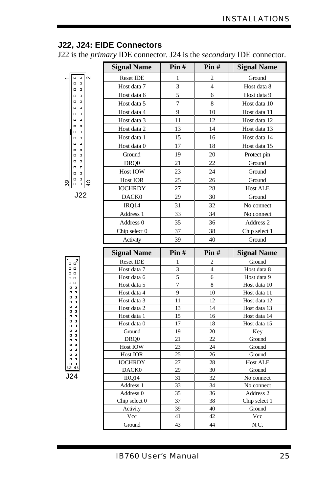## **J22, J24: EIDE Connectors**

J22 is the *primary* IDE connector. J24 is the *secondary* IDE connector.

|                                        | <b>Signal Name</b>         | Pin#     | Pin#           | <b>Signal Name</b>           |
|----------------------------------------|----------------------------|----------|----------------|------------------------------|
| $\Box$<br>$\overline{\mathsf{N}}$<br>o | <b>Reset IDE</b>           | 1        | $\overline{2}$ | Ground                       |
| . .<br>O<br>о                          | Host data 7                | 3        | 4              | Host data 8                  |
| ο<br>о                                 | Host data 6                | 5        | 6              | Host data 9                  |
| $\Box$<br>o                            | Host data 5                | 7        | 8              | Host data 10                 |
| $\Box$<br>$\Box$<br>о<br>o             | Host data 4                | 9        | 10             | Host data 11                 |
| $\mathbf{a}$<br>$\Box$                 | Host data 3                | 11       | 12             | Host data 12                 |
| Ξ<br>o<br>$\Box$<br>o                  | Host data 2                | 13       | 14             | Host data 13                 |
| $\Box$<br>$\Box$                       | Host data 1                | 15       | 16             | Host data 14                 |
| $\Box$<br>$\Box$                       | Host data 0                | 17       | 18             | Host data 15                 |
| $\Box$<br>$\Box$<br>o<br>ο             | Ground                     | 19       | 20             | Protect pin                  |
| $\Box$<br>$\Box$                       | DRQ0                       | 21       | 22             | Ground                       |
| $\Box$<br>$\Box$<br>$\Box$<br>ο        | <b>Host IOW</b>            | 23       | 24             | Ground                       |
| $\Box$<br>Ο<br>59<br>₽                 | <b>Host IOR</b>            | 25       | 26             | Ground                       |
| $\Box$<br>Ω                            | <b>IOCHRDY</b>             | 27       | 28             | <b>Host ALE</b>              |
| J22                                    | DACK <sub>0</sub>          | 29       | 30             | Ground                       |
|                                        | IRQ14                      | 31       | 32             | No connect                   |
|                                        | Address 1                  | 33       | 34             | No connect                   |
|                                        | Address 0                  | 35       | 36             | Address 2                    |
|                                        | Chip select 0              | 37       | 38             | Chip select 1                |
|                                        | Activity                   | 39       | 40             | Ground                       |
|                                        |                            |          |                |                              |
|                                        |                            |          |                |                              |
|                                        | <b>Signal Name</b>         | Pin#     | Pin#           | <b>Signal Name</b>           |
| $\begin{bmatrix} 2 \end{bmatrix}$      | Reset IDE                  | 1        | 2              | Ground                       |
| $\Box$<br>$\Box$                       | Host data 7                | 3        | $\overline{4}$ | Host data 8                  |
| $\Box$<br><b>0 0</b>                   | Host data 6                | 5        | 6              | Host data 9                  |
| $\sigma$ $\sigma$                      | Host data 5                | 7        | 8              | Host data 10                 |
| $\sigma$ $\sigma$<br>$\Box$            | Host data 4                | 9        | 10             | Host data 11                 |
| $\sigma$ $\sigma$<br>$\blacksquare$    | Host data 3                | 11       | 12             | Host data 12                 |
| <b>00</b><br>$\sigma$ $\sigma$         | Host data 2<br>Host data 1 | 13<br>15 | 14<br>16       | Host data 13                 |
| <b>00</b><br><b>0 D</b>                | Host data 0                | 17       | 18             | Host data 14<br>Host data 15 |
| $\sigma$ $\sigma$                      | Ground                     | 19       | 20             | Key                          |
| n <sub>n</sub><br>$\sigma$ $\sigma$    | DRQ0                       | 21       | 22             | Ground                       |
| σ<br>$\Box$<br>α<br>$\Box$             | <b>Host IOW</b>            | 23       | 24             | Ground                       |
| σ<br>$\Box$                            | <b>Host IOR</b>            | 25       | 26             | Ground                       |
| $\sigma$ $\sigma$<br>σo                | <b>IOCHRDY</b>             | 27       | 28             | <b>Host ALE</b>              |
| 43 44                                  | DACK0                      | 29       | 30             | Ground                       |
| J24                                    | IRQ14                      | 31       | 32             | No connect                   |
|                                        | Address 1                  | 33       | 34             | No connect                   |
|                                        | Address 0                  | 35       | 36             | Address <sub>2</sub>         |
|                                        | Chip select 0              | 37       | 38             | Chip select 1                |
|                                        | Activity<br>Vcc            | 39<br>41 | 40<br>42       | Ground<br>Vcc                |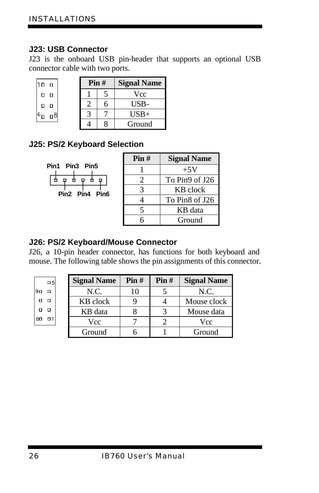#### **J23: USB Connector**

J23 is the onboard USB pin-header that supports an optional USB connector cable with two ports.

|  | Pin# |   | <b>Signal Name</b> |
|--|------|---|--------------------|
|  |      |   | Vcc                |
|  |      | n | USB-               |
|  |      |   | $USB+$             |
|  |      |   | Ground             |

#### **J25: PS/2 Keyboard Selection**

| Pin1 Pin3 Pin5 |  |
|----------------|--|
|                |  |
| Pin2 Pin4 Pin6 |  |

| Pin# | <b>Signal Name</b> |
|------|--------------------|
|      | $+5V$              |
| 2    | To Pin9 of J26     |
| 3    | KB clock           |
| 4    | To Pin8 of J26     |
| 5    | KB data            |
| ŕ    | Ground             |

#### **J26: PS/2 Keyboard/Mouse Connector**

J26, a 10-pin header connector, has functions for both keyboard and mouse. The following table shows the pin assignments of this connector.

|     | ο5  |
|-----|-----|
| 9 □ | □   |
| О   | П   |
| π   | о   |
| 60  | □ 1 |

| <b>Signal Name</b> | $\text{Pin}\,\text{\#}$ | Pin# | <b>Signal Name</b> |
|--------------------|-------------------------|------|--------------------|
| N.C.               |                         |      | N.C.               |
| KB clock           |                         |      | Mouse clock        |
| KB data            |                         |      | Mouse data         |
| Vcc                |                         |      | Vcc                |
| Ground             |                         |      | Ground             |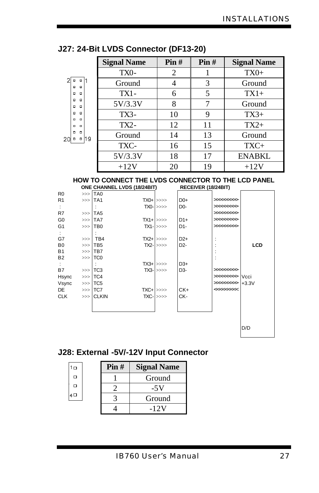|                                         | <b>Signal Name</b> | Pin# | Pin# | <b>Signal Name</b> |
|-----------------------------------------|--------------------|------|------|--------------------|
|                                         | $TXO-$             | 2    |      | $TX0+$             |
| $\blacksquare$<br>o<br>$\Box$<br>$\Box$ | Ground             | 4    | 3    | Ground             |
| п<br>$\Box$                             | $TX1-$             | 6    | 5    | $TX1+$             |
| $\Box$<br>$\Box$<br>$\Box$<br>$\Box$    | 5V/3.3V            | 8    |      | Ground             |
| $\Box$<br>$\Box$<br>$\Box$<br>$\Box$    | TX3-               | 10   | 9    | $TX3+$             |
| $\Box$<br>$\Box$                        | $TX2-$             | 12   | 11   | $TX2+$             |
| $\Box$<br>$\Box$<br>19<br>20<br>o<br>о  | Ground             | 14   | 13   | Ground             |
|                                         | TXC-               | 16   | 15   | $TXC+$             |
|                                         | 5V/3.3V            | 18   | 17   | <b>ENABKL</b>      |
|                                         | $+12V$             | 20   | 19   | $+12V$             |

#### **J27: 24-Bit LVDS Connector (DF13-20)**

#### **HOW TO CONNECT THE LVDS CONNECTOR TO THE LCD PANEL**<br>
ONE CHANNEL LVDS (18/24BIT) RECEIVER (18/24BIT) **ONE CHANNEL LVDS (18/24BIT)**

| R <sub>0</sub> | $\gg$              | TA <sub>0</sub> |               |                |                 |            |         |
|----------------|--------------------|-----------------|---------------|----------------|-----------------|------------|---------|
| R <sub>1</sub> | >>                 | TA <sub>1</sub> | $TX0+ \gg\gg$ |                | D <sub>0+</sub> | >>>>>>>>>> |         |
| ÷              |                    |                 |               | $TX0-$ >>>>    | DO-             | >>>>>>>>>> |         |
| R7             | $>\!\!>\!\!>$      | TA <sub>5</sub> |               |                |                 | >>>>>>>>>> |         |
| G <sub>0</sub> | $>\!\!>\!\!>$      | TA7             | $TX1+ \gg\gg$ |                | D1+             | >>>>>>>>>> |         |
| G1             | >>>                | TB <sub>0</sub> |               | $TX1 - \gg\gg$ | D1-             | >>>>>>>>>> |         |
|                |                    |                 |               |                |                 |            |         |
| G7             | $>\!\!>\!\!>\!\!>$ | TB4             |               | $TX2+$ >>>>    | $D2+$           |            |         |
| B <sub>0</sub> | $>\!\!>\!\!>$      | TB <sub>5</sub> |               | $TX2 - \gg\gg$ | D2-             |            | LCD     |
| <b>B1</b>      | $>\!\!>\!\!>$      | TB7             |               |                |                 |            |         |
| <b>B2</b>      | $\gg$              | TC <sub>0</sub> |               |                |                 |            |         |
|                |                    |                 | $TX3+ \gg\gg$ |                | $D3+$           |            |         |
| <b>B7</b>      | $>\!\!>\!\!>$      | TC <sub>3</sub> |               | $TX3 - \gg\gg$ | D3-             | >>>>>>>>>> |         |
| Hsync          | $\gg$              | TC4             |               |                |                 | >>>>>>>>>> | Vcci    |
| Vsync          | $\gg$              | TC <sub>5</sub> |               |                |                 | >>>>>>>>>> | $+3.3V$ |
| DE             |                    | $\gg$ TC7       | $TXC+$ >>>>   |                | CK+             |            |         |
| <b>CLK</b>     | $\gg$              | <b>CLKIN</b>    |               | $TXC \gg\gg$   | CK-             |            |         |
|                |                    |                 |               |                |                 |            |         |
|                |                    |                 |               |                |                 |            |         |
|                |                    |                 |               |                |                 |            |         |
|                |                    |                 |               |                |                 |            |         |
|                |                    |                 |               |                |                 |            | D/D     |

#### **J28: External -5V/-12V Input Connector**

| $\Box$ | Pin# | <b>Signal Name</b> |
|--------|------|--------------------|
| п      |      | Ground             |
| Φ      |      | $-5V$              |
|        |      | Ground             |
|        |      | -12V               |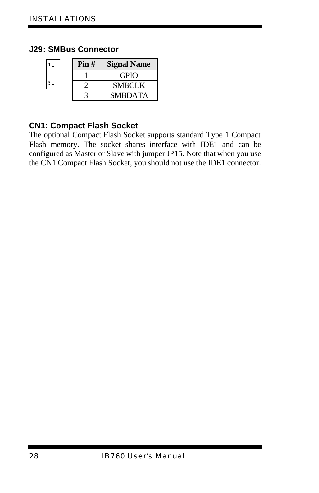#### **J29: SMBus Connector**

| $\Box$ | Pin# | <b>Signal Name</b> |
|--------|------|--------------------|
| п      |      | GPIO               |
| 3□     |      | <b>SMBCLK</b>      |
|        |      | <b>SMBDATA</b>     |

#### **CN1: Compact Flash Socket**

The optional Compact Flash Socket supports standard Type 1 Compact Flash memory. The socket shares interface with IDE1 and can be configured as Master or Slave with jumper JP15. Note that when you use the CN1 Compact Flash Socket, you should not use the IDE1 connector.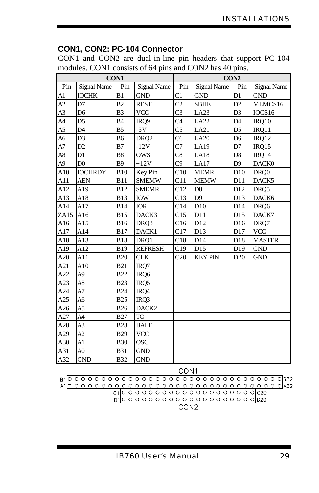#### **CON1, CON2: PC-104 Connector**

CON1 and CON2 are dual-in-line pin headers that support PC-104 modules. CON1 consists of 64 pins and CON2 has 40 pins.

| CON1                                                                                                        |                    |                | CON <sub>2</sub>  |                |                  |                 |                    |
|-------------------------------------------------------------------------------------------------------------|--------------------|----------------|-------------------|----------------|------------------|-----------------|--------------------|
| Pin                                                                                                         | <b>Signal Name</b> | Pin            | Signal Name       | Pin            | Signal Name      | Pin             | <b>Signal Name</b> |
| A1                                                                                                          | <b>IOCHK</b>       | B1             | <b>GND</b>        | C <sub>1</sub> | <b>GND</b>       | D <sub>1</sub>  | <b>GND</b>         |
| A2                                                                                                          | D7                 | B2             | <b>REST</b>       | C <sub>2</sub> | <b>SBHE</b>      | D2              | MEMCS16            |
| A3                                                                                                          | D6                 | B <sub>3</sub> | <b>VCC</b>        | C <sub>3</sub> | LA <sub>23</sub> | D <sub>3</sub>  | IOCS16             |
| A <sub>4</sub>                                                                                              | D5                 | <b>B4</b>      | IRQ9              | C <sub>4</sub> | LA22             | D4              | <b>IRQ10</b>       |
| A <sub>5</sub>                                                                                              | D <sub>4</sub>     | B <sub>5</sub> | $-5V$             | C <sub>5</sub> | LA21             | D <sub>5</sub>  | IRQ11              |
| $\overline{A6}$                                                                                             | D <sub>3</sub>     | B6             | DRQ <sub>2</sub>  | C <sub>6</sub> | $L$ A20          | D <sub>6</sub>  | IRQ12              |
| A7                                                                                                          | D2                 | B7             | $-12V$            | C7             | LA19             | D7              | IRQ15              |
| A8                                                                                                          | D1                 | <b>B8</b>      | <b>OWS</b>        | C8             | LA18             | D <sub>8</sub>  | IRQ14              |
| A9                                                                                                          | D <sub>0</sub>     | <b>B</b> 9     | $+12V$            | C9             | LA17             | D <sub>9</sub>  | DACK <sub>0</sub>  |
| A10                                                                                                         | <b>IOCHRDY</b>     | <b>B10</b>     | Key Pin           | C10            | <b>MEMR</b>      | D10             | DRQ0               |
| A11                                                                                                         | <b>AEN</b>         | <b>B11</b>     | <b>SMEMW</b>      | C11            | <b>MEMW</b>      | D11             | DACK5              |
| A12                                                                                                         | A19                | <b>B12</b>     | <b>SMEMR</b>      | C12            | D <sub>8</sub>   | D12             | DRQ5               |
| A13                                                                                                         | A18                | <b>B13</b>     | <b>IOW</b>        | C13            | D <sub>9</sub>   | D13             | DACK6              |
| A14                                                                                                         | A17                | <b>B14</b>     | <b>IOR</b>        | C14            | D10              | D14             | DRQ6               |
| ZA15                                                                                                        | A16                | <b>B15</b>     | DACK3             | C15            | D11              | D15             | DACK7              |
| A16                                                                                                         | A15                | <b>B16</b>     | DRQ3              | C16            | D12              | D <sub>16</sub> | DRQ7               |
| A17                                                                                                         | A14                | <b>B17</b>     | DACK1             | C17            | D13              | D17             | VCC                |
| A18                                                                                                         | A13                | <b>B18</b>     | DRQ1              | C18            | D14              | D18             | <b>MASTER</b>      |
| A19                                                                                                         | A12                | <b>B19</b>     | <b>REFRESH</b>    | C19            | D <sub>15</sub>  | D <sub>19</sub> | <b>GND</b>         |
| A20                                                                                                         | A11                | <b>B20</b>     | <b>CLK</b>        | C20            | <b>KEY PIN</b>   | D <sub>20</sub> | <b>GND</b>         |
| A21                                                                                                         | A10                | <b>B21</b>     | IRQ7              |                |                  |                 |                    |
| A22                                                                                                         | A9                 | <b>B22</b>     | IRQ6              |                |                  |                 |                    |
| A23                                                                                                         | A8                 | <b>B23</b>     | IRQ5              |                |                  |                 |                    |
| A24                                                                                                         | A7                 | <b>B24</b>     | IRQ4              |                |                  |                 |                    |
| A25                                                                                                         | A6                 | <b>B25</b>     | IRQ3              |                |                  |                 |                    |
| A26                                                                                                         | A5                 | <b>B26</b>     | DACK <sub>2</sub> |                |                  |                 |                    |
| A27                                                                                                         | A4                 | <b>B27</b>     | TC                |                |                  |                 |                    |
| A28                                                                                                         | A <sub>3</sub>     | <b>B28</b>     | <b>BALE</b>       |                |                  |                 |                    |
| A29                                                                                                         | A2                 | <b>B29</b>     | <b>VCC</b>        |                |                  |                 |                    |
| A30                                                                                                         | A1                 | <b>B30</b>     | <b>OSC</b>        |                |                  |                 |                    |
| A31                                                                                                         | A <sub>0</sub>     | <b>B31</b>     | <b>GND</b>        |                |                  |                 |                    |
| A32                                                                                                         | <b>GND</b>         | <b>B32</b>     | <b>GND</b>        |                |                  |                 |                    |
| CON1<br>$c_1$ lo o o o o o o o o o o o o o o o o o ol $c_2$ o<br>nilo o o o o o o o o o o o o o o o o olnen |                    |                |                   |                |                  |                 |                    |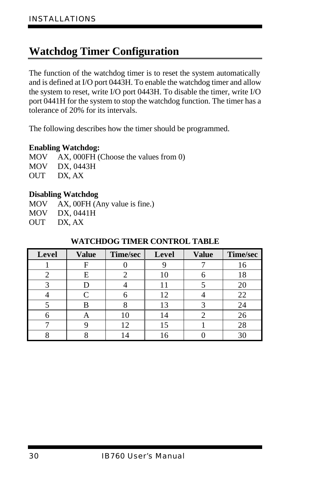## **Watchdog Timer Configuration**

The function of the watchdog timer is to reset the system automatically and is defined at I/O port 0443H. To enable the watchdog timer and allow the system to reset, write I/O port 0443H. To disable the timer, write I/O port 0441H for the system to stop the watchdog function. The timer has a tolerance of 20% for its intervals.

The following describes how the timer should be programmed.

#### **Enabling Watchdog:**

MOV AX, 000FH (Choose the values from 0) MOV DX, 0443H OUT DX, AX

#### **Disabling Watchdog**

MOV AX, 00FH (Any value is fine.) MOV DX, 0441H OUT DX, AX

| Level | <b>Value</b> | Time/sec | Level | <b>Value</b> | <b>Time/sec</b> |
|-------|--------------|----------|-------|--------------|-----------------|
|       | F            |          |       |              |                 |
|       | E            |          | 10    |              | 18              |
|       |              |          |       |              | 20              |
|       |              |          | 12    |              | 22              |
|       | B            |          | 13    |              | 24              |
|       | А            |          | 4     |              | 26              |
|       |              | 12       | 15    |              | 28              |
|       |              |          | 16    |              | 30              |

#### **WATCHDOG TIMER CONTROL TABLE**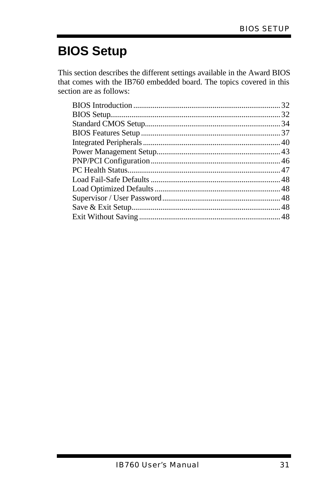# **BIOS Setup**

This section describes the different settings available in the Award BIOS that comes with the IB760 embedded board. The topics covered in this section are as follows: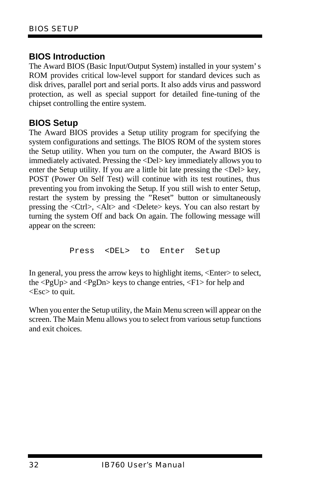#### **BIOS Introduction**

The Award BIOS (Basic Input/Output System) installed in your system's ROM provides critical low-level support for standard devices such as disk drives, parallel port and serial ports. It also adds virus and password protection, as well as special support for detailed fine-tuning of the chipset controlling the entire system.

#### **BIOS Setup**

The Award BIOS provides a Setup utility program for specifying the system configurations and settings. The BIOS ROM of the system stores the Setup utility. When you turn on the computer, the Award BIOS is immediately activated. Pressing the <Del> key immediately allows you to enter the Setup utility. If you are a little bit late pressing the  $\langle$ Del $>$  key, POST (Power On Self Test) will continue with its test routines, thus preventing you from invoking the Setup. If you still wish to enter Setup, restart the system by pressing the "Reset" button or simultaneously pressing the <Ctrl>, <Alt> and <Delete> keys. You can also restart by turning the system Off and back On again. The following message will appear on the screen:

Press <DEL> to Enter Setup

In general, you press the arrow keys to highlight items, <Enter> to select, the <PgUp> and <PgDn> keys to change entries, <F1> for help and <Esc> to quit.

When you enter the Setup utility, the Main Menu screen will appear on the screen. The Main Menu allows you to select from various setup functions and exit choices.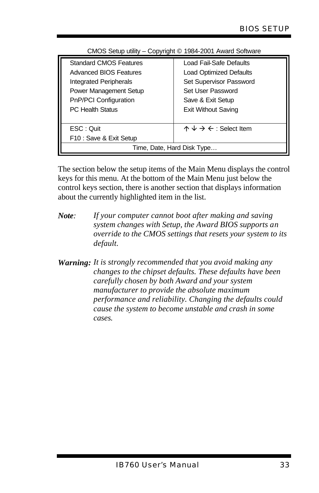| <b>Standard CMOS Features</b> | Load Fail Safe Defaults                              |  |
|-------------------------------|------------------------------------------------------|--|
| Advanced BIOS Features        | <b>Load Optimized Defaults</b>                       |  |
| <b>Integrated Peripherals</b> | Set Supervisor Password                              |  |
| Power Management Setup        | Set User Password                                    |  |
| PnP/PCI Configuration         | Save & Exit Setup                                    |  |
| <b>PC Health Status</b>       | <b>Exit Without Saving</b>                           |  |
|                               |                                                      |  |
| ESC: Quit                     | $\uparrow \psi \rightarrow \leftarrow$ : Select Item |  |
| F10: Save & Exit Setup        |                                                      |  |
| Time, Date, Hard Disk Type    |                                                      |  |

CMOS Setup utility – Copyright © 1984-2001 Award Software

The section below the setup items of the Main Menu displays the control keys for this menu. At the bottom of the Main Menu just below the control keys section, there is another section that displays information about the currently highlighted item in the list.

- *Note: If your computer cannot boot after making and saving system changes with Setup, the Award BIOS supports an override to the CMOS settings that resets your system to its default.*
- *Warning: It is strongly recommended that you avoid making any changes to the chipset defaults. These defaults have been carefully chosen by both Award and your system manufacturer to provide the absolute maximum performance and reliability. Changing the defaults could cause the system to become unstable and crash in some cases.*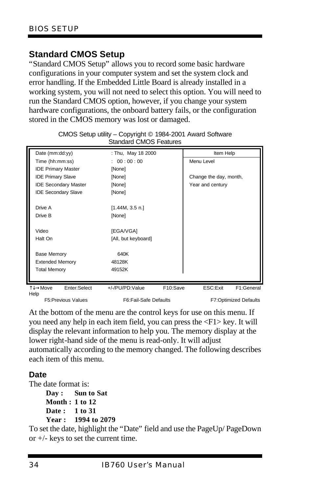#### **Standard CMOS Setup**

"Standard CMOS Setup" allows you to record some basic hardware configurations in your computer system and set the system clock and error handling. If the Embedded Little Board is already installed in a working system, you will not need to select this option. You will need to run the Standard CMOS option, however, if you change your system hardware configurations, the onboard battery fails, or the configuration stored in the CMOS memory was lost or damaged.

| Date (mm:dd:yy)             | : Thu, May 18 2000           |          | Item Help                    |
|-----------------------------|------------------------------|----------|------------------------------|
| Time (hh:mm:ss)             | : 00:00:00                   |          | Menu Level                   |
| <b>IDE Primary Master</b>   | [None]                       |          |                              |
| <b>IDE Primary Slave</b>    | [None]                       |          | Change the day, month,       |
| <b>IDE Secondary Master</b> | [None]                       |          | Year and century             |
| <b>IDE Secondary Slave</b>  | [None]                       |          |                              |
|                             |                              |          |                              |
| Drive A                     | [1.44M, 3.5n]                |          |                              |
| Drive B                     | [None]                       |          |                              |
|                             |                              |          |                              |
| Video                       | [EGA/VGA]                    |          |                              |
| Halt On                     | [All, but keyboard]          |          |                              |
|                             | 640K                         |          |                              |
| <b>Base Memory</b>          |                              |          |                              |
| <b>Extended Memory</b>      | 48128K                       |          |                              |
| <b>Total Memory</b>         | 49152K                       |          |                              |
|                             |                              |          |                              |
| ↑↓→Move<br>Enter:Select     | +/-/PU/PD:Value              | F10:Save | ESC:Exit<br>F1:General       |
| Help                        |                              |          |                              |
| <b>F5:Previous Values</b>   | <b>F6:Fail-Safe Defaults</b> |          | <b>F7:Optimized Defaults</b> |

| CMOS Setup utility – Copyright © 1984-2001 Award Software |  |  |
|-----------------------------------------------------------|--|--|
| <b>Standard CMOS Features</b>                             |  |  |

At the bottom of the menu are the control keys for use on this menu. If you need any help in each item field, you can press the <F1> key. It will display the relevant information to help you. The memory display at the lower right-hand side of the menu is read-only. It will adjust automatically according to the memory changed. The following describes each item of this menu.

#### **Date**

The date format is:

```
Day : Sun to Sat
Month : 1 to 12
Date : 1 to 31
Year : 1994 to 2079
```
To set the date, highlight the "Date" field and use the PageUp/ PageDown or +/- keys to set the current time.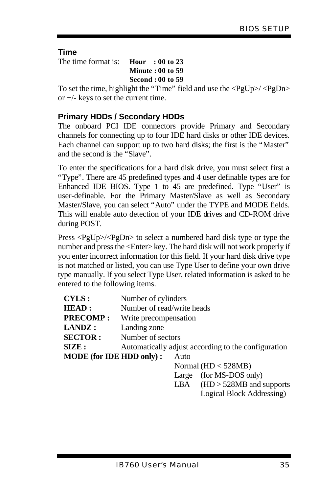#### **Time**

The time format is: **Hour : 00 to 23 Minute : 00 to 59 Second : 00 to 59**

To set the time, highlight the "Time" field and use the  $\langle PgUp \rangle / \langle PgDn \rangle$ or  $+/-$  keys to set the current time.

#### **Primary HDDs / Secondary HDDs**

The onboard PCI IDE connectors provide Primary and Secondary channels for connecting up to four IDE hard disks or other IDE devices. Each channel can support up to two hard disks; the first is the "Master" and the second is the "Slave".

To enter the specifications for a hard disk drive, you must select first a "Type". There are 45 predefined types and 4 user definable types are for Enhanced IDE BIOS. Type 1 to 45 are predefined. Type "User" is user-definable. For the Primary Master/Slave as well as Secondary Master/Slave, you can select "Auto" under the TYPE and MODE fields. This will enable auto detection of your IDE drives and CD-ROM drive during POST.

Press <PgUp>/<PgDn> to select a numbered hard disk type or type the number and press the <Enter> key. The hard disk will not work properly if you enter incorrect information for this field. If your hard disk drive type is not matched or listed, you can use Type User to define your own drive type manually. If you select Type User, related information is asked to be entered to the following items.

| CYLS:                           | Number of cylinders                                 |
|---------------------------------|-----------------------------------------------------|
| <b>HEAD:</b>                    | Number of read/write heads                          |
| <b>PRECOMP:</b>                 | Write precompensation                               |
| LANDZ:                          | Landing zone                                        |
| <b>SECTOR:</b>                  | Number of sectors                                   |
| SIZE:                           | Automatically adjust according to the configuration |
| <b>MODE</b> (for IDE HDD only): | Auto                                                |
|                                 | $\mathbf{v}$                                        |

Normal (HD < 528MB)

Large (for MS-DOS only)

LBA  $(HD > 528MB$  and supports Logical Block Addressing)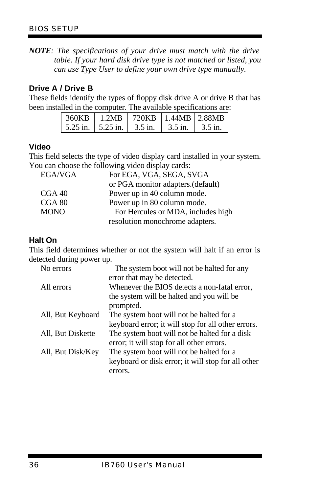*NOTE: The specifications of your drive must match with the drive table. If your hard disk drive type is not matched or listed, you can use Type User to define your own drive type manually.* 

#### **Drive A / Drive B**

These fields identify the types of floppy disk drive A or drive B that has been installed in the computer. The available specifications are:

| $\vert$ 360KB $\vert$ 1.2MB $\vert$ 720KB $\vert$ 1.44MB $\vert$ 2.88MB |  |                                 |  |
|-------------------------------------------------------------------------|--|---------------------------------|--|
| $\frac{1}{2}$ 5.25 in. $\frac{1}{2}$ 5.25 in. $\frac{1}{2}$ 3.5 in.     |  | $\vert$ 3.5 in. $\vert$ 3.5 in. |  |

#### **Video**

This field selects the type of video display card installed in your system. You can choose the following video display cards:

| EGA/VGA     | For EGA, VGA, SEGA, SVGA           |
|-------------|------------------------------------|
|             | or PGA monitor adapters.(default)  |
| CGA 40      | Power up in 40 column mode.        |
| CGA 80      | Power up in 80 column mode.        |
| <b>MONO</b> | For Hercules or MDA, includes high |
|             | resolution monochrome adapters.    |

#### **Halt On**

This field determines whether or not the system will halt if an error is detected during power up.

| The system boot will not be halted for any         |
|----------------------------------------------------|
| error that may be detected.                        |
| Whenever the BIOS detects a non-fatal error,       |
| the system will be halted and you will be          |
| prompted.                                          |
| The system boot will not be halted for a           |
| keyboard error; it will stop for all other errors. |
| The system boot will not be halted for a disk      |
| error; it will stop for all other errors.          |
| The system boot will not be halted for a           |
| keyboard or disk error; it will stop for all other |
| errors.                                            |
|                                                    |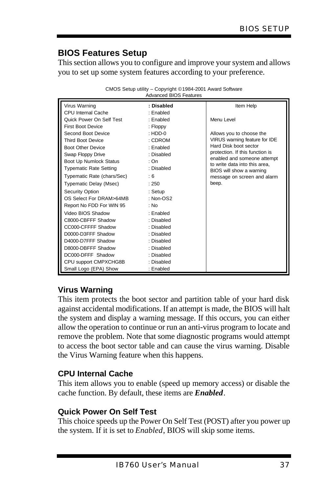## **BIOS Features Setup**

This section allows you to configure and improve your system and allows you to set up some system features according to your preference.

| Virus Warning                 | : Disabled   | Item Help                                                      |
|-------------------------------|--------------|----------------------------------------------------------------|
| CPU Internal Cache            | : Enabled    |                                                                |
| Quick Power On Self Test      | : Enabled    | Menu Level                                                     |
| <b>First Boot Device</b>      | : Floppy     |                                                                |
| Second Boot Device            | $: HDD-0$    | Allows you to choose the                                       |
| <b>Third Boot Device</b>      | : CDROM      | VIRUS warning feature for IDE                                  |
| <b>Boot Other Device</b>      | : Enabled    | Hard Disk boot sector                                          |
| Swap Floppy Drive             | : Disabled   | protection. If this function is<br>enabled and someone attempt |
| Boot Up Numlock Status        | : On         | to write data into this area.                                  |
| <b>Typematic Rate Setting</b> | : Disabled   | BIOS will show a warning                                       |
| Typematic Rate (chars/Sec)    | : 6          | message on screen and alarm                                    |
| Typematic Delay (Msec)        | : 250        | beep.                                                          |
| <b>Security Option</b>        | : Setup      |                                                                |
| OS Select For DRAM>64MB       | : Non- $OS2$ |                                                                |
| Report No FDD For WIN 95      | : No         |                                                                |
| Video BIOS Shadow             | : Enabled    |                                                                |
| C8000-CBFFF Shadow            | : Disabled   |                                                                |
| CC000-CFFFF Shadow            | : Disabled   |                                                                |
| D0000-D3FFF Shadow            | : Disabled   |                                                                |
| D4000-D7FFF Shadow            | : Disabled   |                                                                |
| D8000-DBFFF Shadow            | : Disabled   |                                                                |
| DC000-DFFF Shadow             | : Disabled   |                                                                |
| CPU support CMPXCHG8B         | : Disabled   |                                                                |
| Small Logo (EPA) Show         | : Enabled    |                                                                |

CMOS Setup utility – Copyright © 1984-2001 Award Software Advanced BIOS Features

#### **Virus Warning**

This item protects the boot sector and partition table of your hard disk against accidental modifications. If an attempt is made, the BIOS will halt the system and display a warning message. If this occurs, you can either allow the operation to continue or run an anti-virus program to locate and remove the problem. Note that some diagnostic programs would attempt to access the boot sector table and can cause the virus warning. Disable the Virus Warning feature when this happens.

#### **CPU Internal Cache**

This item allows you to enable (speed up memory access) or disable the cache function. By default, these items are *Enabled*.

#### **Quick Power On Self Test**

This choice speeds up the Power On Self Test (POST) after you power up the system. If it is set to *Enabled*, BIOS will skip some items.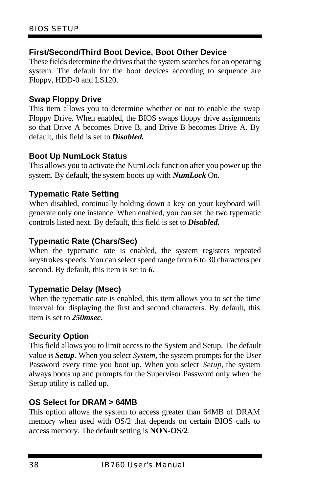#### **First/Second/Third Boot Device, Boot Other Device**

These fields determine the drives that the system searches for an operating system. The default for the boot devices according to sequence are Floppy, HDD-0 and LS120.

#### **Swap Floppy Drive**

This item allows you to determine whether or not to enable the swap Floppy Drive. When enabled, the BIOS swaps floppy drive assignments so that Drive A becomes Drive B, and Drive B becomes Drive A. By default, this field is set to *Disabled.*

#### **Boot Up NumLock Status**

This allows you to activate the NumLock function after you power up the system. By default, the system boots up with *NumLock* On.

#### **Typematic Rate Setting**

When disabled, continually holding down a key on your keyboard will generate only one instance. When enabled, you can set the two typematic controls listed next. By default, this field is set to *Disabled.*

#### **Typematic Rate (Chars/Sec)**

When the typematic rate is enabled, the system registers repeated keystrokes speeds. You can select speed range from 6 to 30 characters per second. By default, this item is set to *6.*

#### **Typematic Delay (Msec)**

When the typematic rate is enabled, this item allows you to set the time interval for displaying the first and second characters. By default, this item is set to *250msec.*

#### **Security Option**

This field allows you to limit access to the System and Setup. The default value is *Setup*. When you select *System,* the system prompts for the User Password every time you boot up. When you select *Setup,* the system always boots up and prompts for the Supervisor Password only when the Setup utility is called up.

#### **OS Select for DRAM > 64MB**

This option allows the system to access greater than 64MB of DRAM memory when used with OS/2 that depends on certain BIOS calls to access memory. The default setting is **NON-OS/2**.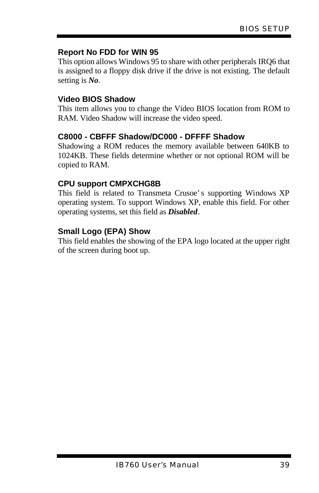#### **Report No FDD for WIN 95**

This option allows Windows 95 to share with other peripherals IRQ6 that is assigned to a floppy disk drive if the drive is not existing. The default setting is *No*.

#### **Video BIOS Shadow**

This item allows you to change the Video BIOS location from ROM to RAM. Video Shadow will increase the video speed.

#### **C8000 - CBFFF Shadow/DC000 - DFFFF Shadow**

Shadowing a ROM reduces the memory available between 640KB to 1024KB. These fields determine whether or not optional ROM will be copied to RAM.

#### **CPU support CMPXCHG8B**

This field is related to Transmeta Crusoe's supporting Windows XP operating system. To support Windows XP, enable this field. For other operating systems, set this field as *Disabled*.

#### **Small Logo (EPA) Show**

This field enables the showing of the EPA logo located at the upper right of the screen during boot up.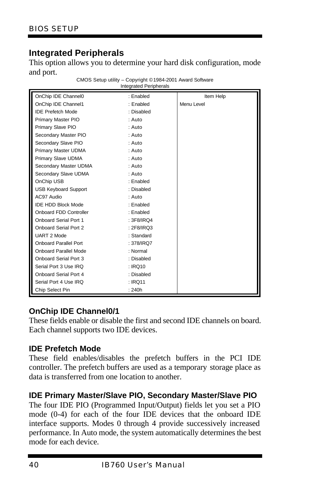## **Integrated Peripherals**

This option allows you to determine your hard disk configuration, mode and port.

|                             | <b>Integrated Peripherals</b> |            |
|-----------------------------|-------------------------------|------------|
| OnChip IDE Channel0         | : Enabled                     | Item Help  |
| OnChip IDE Channel1         | : Enabled                     | Menu Level |
| <b>IDE Prefetch Mode</b>    | : Disabled                    |            |
| Primary Master PIO          | : Auto                        |            |
| Primary Slave PIO           | : Auto                        |            |
| Secondary Master PIO        | : Auto                        |            |
| Secondary Slave PIO         | : Auto                        |            |
| Primary Master UDMA         | : Auto                        |            |
| Primary Slave UDMA          | $:$ Auto                      |            |
| Secondary Master UDMA       | : Auto                        |            |
| Secondary Slave UDMA        | $:$ Auto                      |            |
| OnChip USB                  | : Enabled                     |            |
| <b>USB Keyboard Support</b> | : Disabled                    |            |
| AC97 Audio                  | : Auto                        |            |
| <b>IDE HDD Block Mode</b>   | : Enabled                     |            |
| Onboard FDD Controller      | : Enabled                     |            |
| Onboard Serial Port 1       | : 3F8/IRQ4                    |            |
| Onboard Serial Port 2       | : 2F8/IRQ3                    |            |
| <b>UART 2 Mode</b>          | : Standard                    |            |
| Onboard Parallel Port       | : $378/IRO7$                  |            |
| Onboard Parallel Mode       | : Normal                      |            |
| Onboard Serial Port 3       | : Disabled                    |            |
| Serial Port 3 Use IRO       | : IRQ10                       |            |
| Onboard Serial Port 4       | : Disabled                    |            |
| Serial Port 4 Use IRQ       | : IRQ11                       |            |
| Chip Select Pin             | : 240h                        |            |

CMOS Setup utility – Copyright © 1984-2001 Award Software

#### **OnChip IDE Channel0/1**

These fields enable or disable the first and second IDE channels on board. Each channel supports two IDE devices.

#### **IDE Prefetch Mode**

These field enables/disables the prefetch buffers in the PCI IDE controller. The prefetch buffers are used as a temporary storage place as data is transferred from one location to another.

#### **IDE Primary Master/Slave PIO, Secondary Master/Slave PIO**

The four IDE PIO (Programmed Input/Output) fields let you set a PIO mode (0-4) for each of the four IDE devices that the onboard IDE interface supports. Modes 0 through 4 provide successively increased performance. In Auto mode, the system automatically determines the best mode for each device.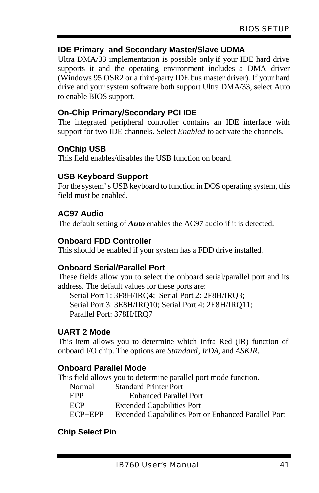#### **IDE Primary and Secondary Master/Slave UDMA**

Ultra DMA/33 implementation is possible only if your IDE hard drive supports it and the operating environment includes a DMA driver (Windows 95 OSR2 or a third-party IDE bus master driver). If your hard drive and your system software both support Ultra DMA/33, select Auto to enable BIOS support.

#### **On-Chip Primary/Secondary PCI IDE**

The integrated peripheral controller contains an IDE interface with support for two IDE channels. Select *Enabled* to activate the channels.

#### **OnChip USB**

This field enables/disables the USB function on board.

#### **USB Keyboard Support**

For the system's USB keyboard to function in DOS operating system, this field must be enabled.

#### **AC97 Audio**

The default setting of *Auto* enables the AC97 audio if it is detected.

#### **Onboard FDD Controller**

This should be enabled if your system has a FDD drive installed.

#### **Onboard Serial/Parallel Port**

These fields allow you to select the onboard serial/parallel port and its address. The default values for these ports are:

Serial Port 1: 3F8H/IRQ4; Serial Port 2: 2F8H/IRQ3; Serial Port 3: 3E8H/IRQ10; Serial Port 4: 2E8H/IRQ11; Parallel Port: 378H/IRQ7

#### **UART 2 Mode**

This item allows you to determine which Infra Red (IR) function of onboard I/O chip. The options are *Standard*, *IrDA*, and *ASKIR*.

#### **Onboard Parallel Mode**

This field allows you to determine parallel port mode function.

Normal Standard Printer Port

EPP Enhanced Parallel Port

ECP Extended Capabilities Port

ECP+EPP Extended Capabilities Port or Enhanced Parallel Port

#### **Chip Select Pin**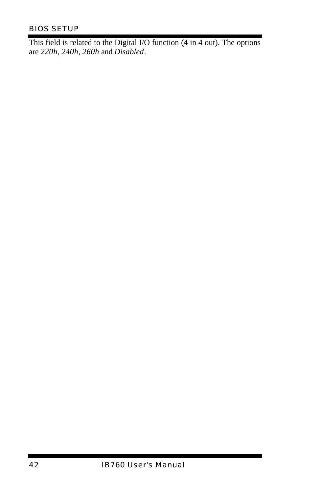This field is related to the Digital I/O function (4 in 4 out). The options are *220h*, *240h*, *260h* and *Disabled*.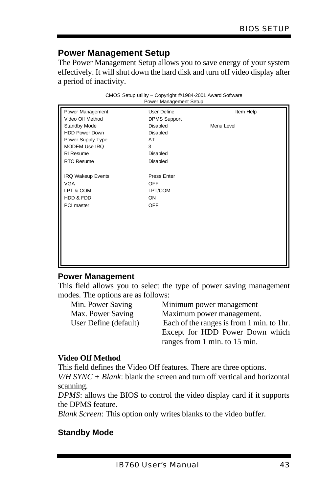## **Power Management Setup**

The Power Management Setup allows you to save energy of your system effectively. It will shut down the hard disk and turn off video display after a period of inactivity.

|                                                                    | L OMA IMENTERITAL OCTOD                        |                         |
|--------------------------------------------------------------------|------------------------------------------------|-------------------------|
| Power Management<br>Video Off Method<br>Standby Mode               | User Define<br><b>DPMS Support</b><br>Disabled | Item Help<br>Menu Level |
| <b>HDD Power Down</b><br>Power-Supply Type<br><b>MODEM Use IRQ</b> | Disabled<br>AT<br>3                            |                         |
| <b>RI</b> Resume<br>RTC Resume                                     | Disabled<br>Disabled                           |                         |
| <b>IRQ Wakeup Events</b>                                           | Press Enter                                    |                         |
| <b>VGA</b><br>LPT & COM<br>HDD & FDD                               | <b>OFF</b><br>LPT/COM<br>ON                    |                         |
| PCI master                                                         | OFF                                            |                         |
|                                                                    |                                                |                         |
|                                                                    |                                                |                         |
|                                                                    |                                                |                         |

| CMOS Setup utility - Copyright ©1984-2001 Award Software |  |
|----------------------------------------------------------|--|
| Power Management Setup                                   |  |

#### **Power Management**

This field allows you to select the type of power saving management modes. The options are as follows:

| Min. Power Saving     | Minimum power management                  |
|-----------------------|-------------------------------------------|
| Max. Power Saving     | Maximum power management.                 |
| User Define (default) | Each of the ranges is from 1 min. to 1hr. |
|                       | Except for HDD Power Down which           |
|                       | ranges from 1 min. to 15 min.             |

#### **Video Off Method**

This field defines the Video Off features. There are three options.

*V/H SYNC + Blank*: blank the screen and turn off vertical and horizontal scanning.

*DPMS*: allows the BIOS to control the video display card if it supports the DPMS feature.

*Blank Screen*: This option only writes blanks to the video buffer.

#### **Standby Mode**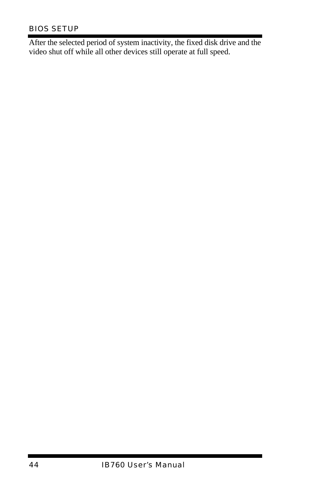After the selected period of system inactivity, the fixed disk drive and the video shut off while all other devices still operate at full speed.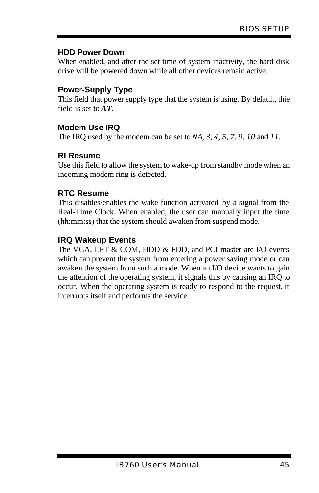#### **HDD Power Down**

When enabled, and after the set time of system inactivity, the hard disk drive will be powered down while all other devices remain active.

### **Power-Supply Type**

This field that power supply type that the system is using. By default, thie field is set to *AT*.

#### **Modem Use IRQ**

The IRQ used by the modem can be set to *NA*, *3*, *4*, *5*, *7*, *9*, *10* and *11*.

#### **RI Resume**

Use this field to allow the system to wake-up from standby mode when an incoming modem ring is detected.

#### **RTC Resume**

This disables/enables the wake function activated by a signal from the Real-Time Clock. When enabled, the user can manually input the time (hh:mm:ss) that the system should awaken from suspend mode.

### **IRQ Wakeup Events**

The VGA, LPT & COM, HDD & FDD, and PCI master are I/O events which can prevent the system from entering a power saving mode or can awaken the system from such a mode. When an I/O device wants to gain the attention of the operating system, it signals this by causing an IRQ to occur. When the operating system is ready to respond to the request, it interrupts itself and performs the service.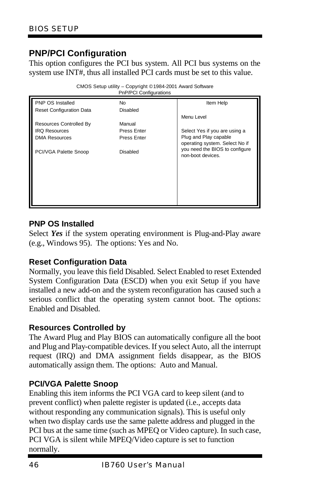## **PNP/PCI Configuration**

This option configures the PCI bus system. All PCI bus systems on the system use INT#, thus all installed PCI cards must be set to this value.

| <b>PNP OS Installed</b>        | N <sub>0</sub> | Item Help                                               |
|--------------------------------|----------------|---------------------------------------------------------|
| Reset Configuration Data       | Disabled       |                                                         |
|                                |                | Menu Level                                              |
| <b>Resources Controlled By</b> | Manual         |                                                         |
| <b>IRQ Resources</b>           | Press Enter    | Select Yes if you are using a                           |
| <b>DMA Resources</b>           | Press Enter    | Plug and Play capable<br>operating system. Select No if |
| PCI/VGA Palette Snoop          | Disabled       | you need the BIOS to configure<br>non-boot devices.     |
|                                |                |                                                         |
|                                |                |                                                         |
|                                |                |                                                         |
|                                |                |                                                         |

CMOS Setup utility – Copyright © 1984-2001 Award Software PnP/PCI Configurations

#### **PNP OS Installed**

Select *Yes* if the system operating environment is Plug-and-Play aware (e.g., Windows 95). The options: Yes and No.

#### **Reset Configuration Data**

Normally, you leave this field Disabled. Select Enabled to reset Extended System Configuration Data (ESCD) when you exit Setup if you have installed a new add-on and the system reconfiguration has caused such a serious conflict that the operating system cannot boot. The options: Enabled and Disabled.

#### **Resources Controlled by**

The Award Plug and Play BIOS can automatically configure all the boot and Plug and Play-compatible devices. If you select Auto, all the interrupt request (IRQ) and DMA assignment fields disappear, as the BIOS automatically assign them. The options: Auto and Manual.

#### **PCI/VGA Palette Snoop**

Enabling this item informs the PCI VGA card to keep silent (and to prevent conflict) when palette register is updated (i.e., accepts data without responding any communication signals). This is useful only when two display cards use the same palette address and plugged in the PCI bus at the same time (such as MPEQ or Video capture). In such case, PCI VGA is silent while MPEQ/Video capture is set to function normally.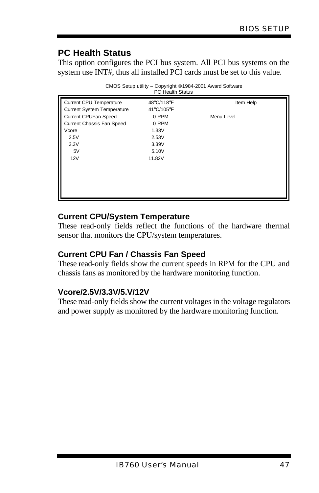## **PC Health Status**

This option configures the PCI bus system. All PCI bus systems on the system use INT#, thus all installed PCI cards must be set to this value.

| <b>Current CPU Temperature</b><br><b>Current System Temperature</b> | 48°C/118°F<br>41°C/105°F | Item Help  |
|---------------------------------------------------------------------|--------------------------|------------|
| Current CPUFan Speed                                                | 0 RPM                    | Menu Level |
| Current Chassis Fan Speed                                           | 0 RPM                    |            |
| Vcore                                                               | 1.33V                    |            |
| 2.5V                                                                | 2.53V                    |            |
| 3.3V                                                                | 3.39V                    |            |
| 5V                                                                  | 5.10V                    |            |
| 12V                                                                 | 11.82V                   |            |
|                                                                     |                          |            |
|                                                                     |                          |            |
|                                                                     |                          |            |
|                                                                     |                          |            |
|                                                                     |                          |            |

| CMOS Setup utility - Copyright ©1984-2001 Award Software |  |
|----------------------------------------------------------|--|
| <b>PC Health Status</b>                                  |  |

#### **Current CPU/System Temperature**

These read-only fields reflect the functions of the hardware thermal sensor that monitors the CPU/system temperatures.

#### **Current CPU Fan / Chassis Fan Speed**

These read-only fields show the current speeds in RPM for the CPU and chassis fans as monitored by the hardware monitoring function.

#### **Vcore/2.5V/3.3V/5.V/12V**

These read-only fields show the current voltages in the voltage regulators and power supply as monitored by the hardware monitoring function.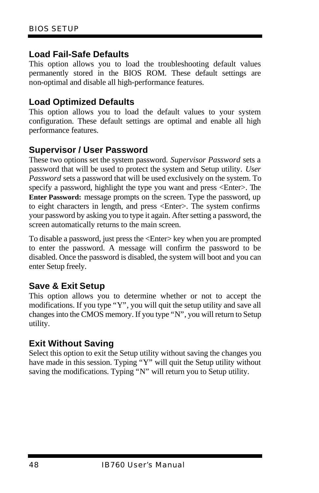#### **Load Fail-Safe Defaults**

This option allows you to load the troubleshooting default values permanently stored in the BIOS ROM. These default settings are non-optimal and disable all high-performance features.

#### **Load Optimized Defaults**

This option allows you to load the default values to your system configuration. These default settings are optimal and enable all high performance features.

#### **Supervisor / User Password**

These two options set the system password. *Supervisor Password* sets a password that will be used to protect the system and Setup utility. *User Password* sets a password that will be used exclusively on the system. To specify a password, highlight the type you want and press <Enter>. The **Enter Password:** message prompts on the screen. Type the password, up to eight characters in length, and press <Enter>. The system confirms your password by asking you to type it again. After setting a password, the screen automatically returns to the main screen.

To disable a password, just press the <Enter> key when you are prompted to enter the password. A message will confirm the password to be disabled. Once the password is disabled, the system will boot and you can enter Setup freely.

#### **Save & Exit Setup**

This option allows you to determine whether or not to accept the modifications. If you type "Y", you will quit the setup utility and save all changes into the CMOS memory. If you type "N", you will return to Setup utility.

#### **Exit Without Saving**

Select this option to exit the Setup utility without saving the changes you have made in this session. Typing "Y" will quit the Setup utility without saving the modifications. Typing "N" will return you to Setup utility.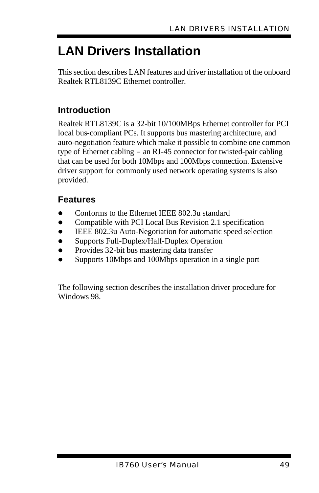# **LAN Drivers Installation**

This section describes LAN features and driver installation of the onboard Realtek RTL8139C Ethernet controller.

## **Introduction**

Realtek RTL8139C is a 32-bit 10/100MBps Ethernet controller for PCI local bus-compliant PCs. It supports bus mastering architecture, and auto-negotiation feature which make it possible to combine one common type of Ethernet cabling – an RJ-45 connector for twisted-pair cabling that can be used for both 10Mbps and 100Mbps connection. Extensive driver support for commonly used network operating systems is also provided.

## **Features**

- Conforms to the Ethernet IEEE 802.3u standard
- l Compatible with PCI Local Bus Revision 2.1 specification
- l IEEE 802.3u Auto-Negotiation for automatic speed selection
- Supports Full-Duplex/Half-Duplex Operation
- Provides 32-bit bus mastering data transfer
- Supports 10Mbps and 100Mbps operation in a single port

The following section describes the installation driver procedure for Windows 98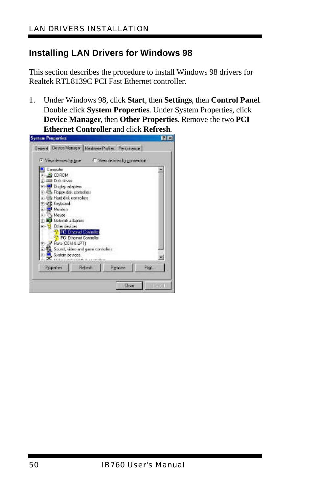## **Installing LAN Drivers for Windows 98**

This section describes the procedure to install Windows 98 drivers for Realtek RTL8139C PCI Fast Ethernet controller.

1. Under Windows 98, click **Start**, then **Settings**, then **Control Panel**. Double click **System Properties**. Under System Properties, click **Device Manager**, then **Other Properties**. Remove the two **PCI Ethernet Controller** and click **Refresh**.

| F View devices by type       |                                          | C. Men devices by connection |       |
|------------------------------|------------------------------------------|------------------------------|-------|
| Corres Au                    |                                          |                              |       |
| <b>CDROM</b>                 |                                          |                              |       |
| Disk drives                  |                                          |                              |       |
| Display eductors             |                                          |                              |       |
| Floppy disk controllers      |                                          |                              |       |
| Had disk controllers         |                                          |                              |       |
| P& Keyboard                  |                                          |                              |       |
| <b>Matakana</b>              |                                          |                              |       |
| To Moure<br>Notwork adapters |                                          |                              |       |
| Other devices                |                                          |                              |       |
|                              | <sup>2</sup> FD Etheshet Controller      |                              |       |
|                              | <b>C</b> FCI Ethernet Controller         |                              |       |
| Porto ICBM & LPTI            |                                          |                              |       |
|                              | Sound, video and game controllers:       |                              |       |
| System devices               |                                          |                              |       |
|                              | hele in court Plantich Reservation flows |                              |       |
|                              | <b>Reliesh</b>                           | Remove                       | Pint. |
| Properties                   |                                          |                              |       |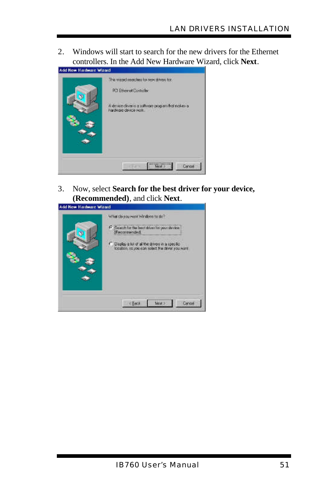2. Windows will start to search for the new drivers for the Ethernet controllers. In the Add New Hardware Wizard, click **Next**.

| This winerd seerches for new threes for<br><b>PCI Ethewell Cardioller</b>                            |
|------------------------------------------------------------------------------------------------------|
| A design diverse a software program that riches a<br>Francisco device work. The contract of the con- |
|                                                                                                      |
|                                                                                                      |

3. Now, select **Search for the best driver for your device, (Recommended)**, and click **Next**.

| What do you want Windows to do?<br>C. Search for the best driver for your device.<br><b>Flecontrended</b><br>Display a tel of all the drivers in a specific-<br>location as you can saled the down you want |
|-------------------------------------------------------------------------------------------------------------------------------------------------------------------------------------------------------------|
|                                                                                                                                                                                                             |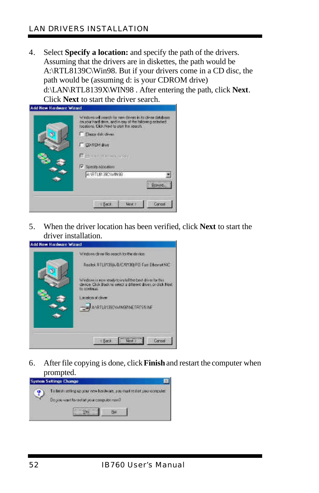4. Select **Specify a location:** and specify the path of the drivers. Assuming that the drivers are in diskettes, the path would be A:\RTL8139C\Win98. But if your drivers come in a CD disc, the path would be (assuming d: is your CDROM drive) d:\LAN\RTL8139X\WIN98 . After entering the path, click **Next**. Click **Next** to start the driver search.



5. When the driver location has been verified, click **Next** to start the driver installation.



6. After file copying is done, click **Finish** and restart the computer when prompted.

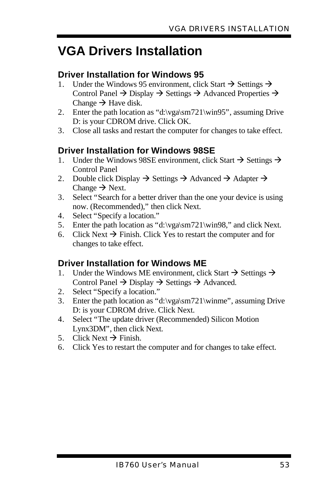## **VGA Drivers Installation**

## **Driver Installation for Windows 95**

- 1. Under the Windows 95 environment, click Start  $\rightarrow$  Settings  $\rightarrow$ Control Panel  $\rightarrow$  Display  $\rightarrow$  Settings  $\rightarrow$  Advanced Properties  $\rightarrow$ Change  $\rightarrow$  Have disk.
- 2. Enter the path location as "d:\vga\sm721\win95", assuming Drive D: is your CDROM drive. Click OK.
- 3. Close all tasks and restart the computer for changes to take effect.

## **Driver Installation for Windows 98SE**

- 1. Under the Windows 98SE environment, click Start  $\rightarrow$  Settings  $\rightarrow$ Control Panel
- 2. Double click Display  $\rightarrow$  Settings  $\rightarrow$  Advanced  $\rightarrow$  Adapter  $\rightarrow$ Change  $\rightarrow$  Next.
- 3. Select "Search for a better driver than the one your device is using now. (Recommended)," then click Next.
- 4. Select "Specify a location."
- 5. Enter the path location as "d:\vga\sm721\win98," and click Next.
- 6. Click Next  $\rightarrow$  Finish. Click Yes to restart the computer and for changes to take effect.

## **Driver Installation for Windows ME**

- 1. Under the Windows ME environment, click Start  $\rightarrow$  Settings  $\rightarrow$ Control Panel  $\rightarrow$  Display  $\rightarrow$  Settings  $\rightarrow$  Advanced.
- 2. Select "Specify a location."
- 3. Enter the path location as "d:\vga\sm721\winme", assuming Drive D: is your CDROM drive. Click Next.
- 4. Select "The update driver (Recommended) Silicon Motion Lynx3DM", then click Next.
- 5. Click Next  $\rightarrow$  Finish.
- 6. Click Yes to restart the computer and for changes to take effect.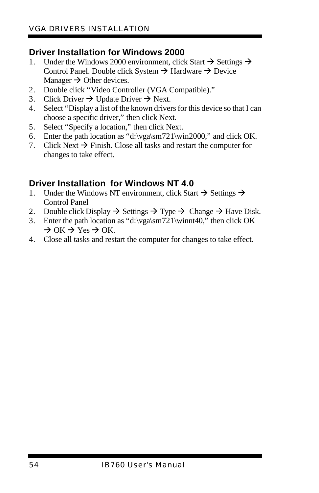### **Driver Installation for Windows 2000**

- 1. Under the Windows 2000 environment, click Start  $\rightarrow$  Settings  $\rightarrow$ Control Panel. Double click System  $\rightarrow$  Hardware  $\rightarrow$  Device Manager  $\rightarrow$  Other devices.
- 2. Double click "Video Controller (VGA Compatible)."
- 3. Click Driver  $\rightarrow$  Update Driver  $\rightarrow$  Next.
- 4. Select "Display a list of the known drivers for this device so that I can choose a specific driver," then click Next.
- 5. Select "Specify a location," then click Next.
- 6. Enter the path location as "d:\vga\sm721\win2000," and click OK.
- 7. Click Next  $\rightarrow$  Finish. Close all tasks and restart the computer for changes to take effect.

## **Driver Installation for Windows NT 4.0**

- 1. Under the Windows NT environment, click Start  $\rightarrow$  Settings  $\rightarrow$ Control Panel
- 2. Double click Display  $\rightarrow$  Settings  $\rightarrow$  Type  $\rightarrow$  Change  $\rightarrow$  Have Disk.
- 3. Enter the path location as "d:\vga\sm721\winnt40," then click OK  $\rightarrow$  OK  $\rightarrow$  Yes  $\rightarrow$  OK.
- 4. Close all tasks and restart the computer for changes to take effect.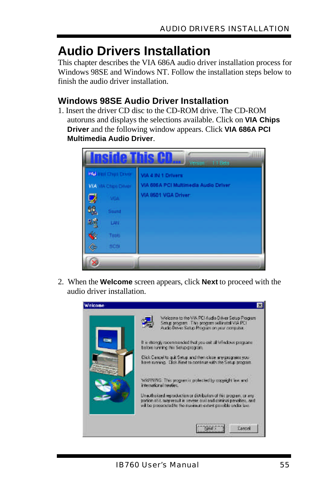## **Audio Drivers Installation**

This chapter describes the VIA 686A audio driver installation process for Windows 98SE and Windows NT. Follow the installation steps below to finish the audio driver installation.

## **Windows 98SE Audio Driver Installation**

1. Insert the driver CD disc to the CD-ROM drive. The CD-ROM autoruns and displays the selections available. Click on **VIA Chips Driver** and the following window appears. Click **VIA 686A PCI Multimedia Audio Driver**.



2. When the **Welcome** screen appears, click **Next** to proceed with the audio driver installation.

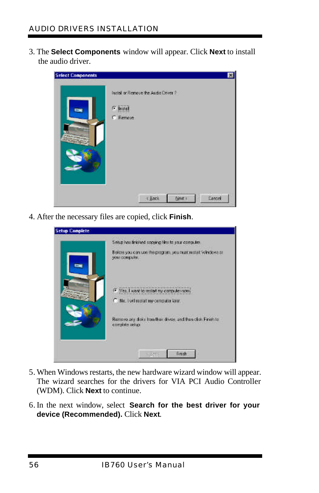3. The **Select Components** window will appear. Click **Next** to install the audio driver.

| <b>Select Components</b> |           |                                       |         | 図      |
|--------------------------|-----------|---------------------------------------|---------|--------|
| ٠                        | G Instal  | Install or Flemove the Audio Driver ? |         |        |
|                          | C. Remove |                                       |         |        |
|                          |           |                                       |         |        |
|                          |           |                                       |         |        |
|                          |           | : Back                                | Next is | Cancel |

4. After the necessary files are copied, click **Finish**.

| Beiche you can use the program, you must restait Windows or                                                                                  |
|----------------------------------------------------------------------------------------------------------------------------------------------|
| you compute.                                                                                                                                 |
| (Fighter, I want to restart my computer now.<br>C No. I will restart my computer later.                                                      |
| CONTRACTOR AND ACTIVITIES WITH A REPORT OF THE CONTRACTOR<br>Bemaye any disks from their drives, and then olick Finish to<br>complete selup. |

- 5. When Windows restarts, the new hardware wizard window will appear. The wizard searches for the drivers for VIA PCI Audio Controller (WDM). Click **Next** to continue.
- 6. In the next window, select **Search for the best driver for your device (Recommended).** Click **Next**.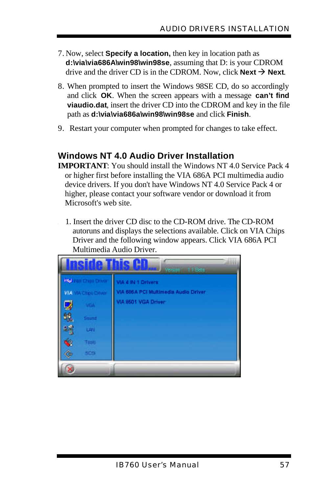- 7. Now, select **Specify a location,** then key in location path as **d:\via\via686A\win98\win98se**, assuming that D: is your CDROM drive and the driver CD is in the CDROM. Now, click **Next**  $\rightarrow$  **Next**.
- 8. When prompted to insert the Windows 98SE CD, do so accordingly and click **OK**. When the screen appears with a message **can't find viaudio.dat**, insert the driver CD into the CDROM and key in the file path as **d:\via\via686a\win98\win98se** and click **Finish**.
- 9. Restart your computer when prompted for changes to take effect.

## **Windows NT 4.0 Audio Driver Installation**

**IMPORTANT**: You should install the Windows NT 4.0 Service Pack 4 or higher first before installing the VIA 686A PCI multimedia audio device drivers. If you don't have Windows NT 4.0 Service Pack 4 or higher, please contact your software vendor or download it from Microsoft's web site.

1 . 1. Insert the driver CD disc to the CD-ROM drive. The CD-ROM autoruns and displays the selections available. Click on VIA Chips Driver and the following window appears. Click VIA 686A PCI Multimedia Audio Driver.

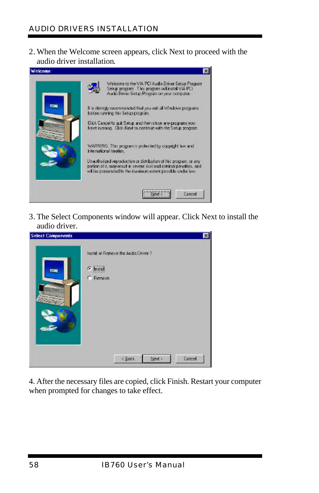2. When the Welcome screen appears, click Next to proceed with the audio driver installation.



3. The Select Components window will appear. Click Next to install the audio driver.



4. After the necessary files are copied, click Finish. Restart your computer when prompted for changes to take effect.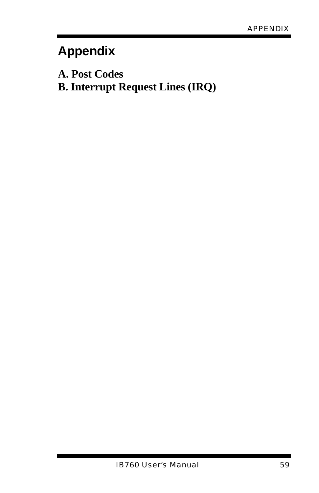# **Appendix**

**A. Post Codes**

**B. Interrupt Request Lines (IRQ)**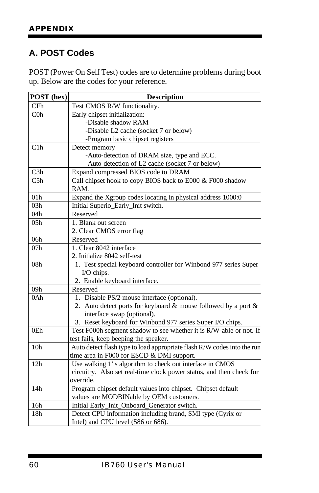## **A. POST Codes**

POST (Power On Self Test) codes are to determine problems during boot up. Below are the codes for your reference.

| POST (hex)      | <b>Description</b>                                                      |
|-----------------|-------------------------------------------------------------------------|
| CFh             | Test CMOS R/W functionality.                                            |
| C <sub>0</sub>  | Early chipset initialization:                                           |
|                 | -Disable shadow RAM                                                     |
|                 | -Disable L2 cache (socket 7 or below)                                   |
|                 | -Program basic chipset registers                                        |
| C1h             | Detect memory                                                           |
|                 | -Auto-detection of DRAM size, type and ECC.                             |
|                 | -Auto-detection of L2 cache (socket 7 or below)                         |
| C3h             | Expand compressed BIOS code to DRAM                                     |
| C5h             | Call chipset hook to copy BIOS back to E000 & F000 shadow               |
|                 | RAM.                                                                    |
| 01h             | Expand the Xgroup codes locating in physical address 1000:0             |
| 03h             | Initial Superio_Early_Init switch.                                      |
| 04h             | Reserved                                                                |
| 05h             | 1. Blank out screen                                                     |
|                 | 2. Clear CMOS error flag                                                |
| 06h             | Reserved                                                                |
| 07h             | 1. Clear 8042 interface                                                 |
|                 | 2. Initialize 8042 self-test                                            |
| 08h             | 1. Test special keyboard controller for Winbond 977 series Super        |
|                 | I/O chips.                                                              |
|                 | 2. Enable keyboard interface.                                           |
| 09h             | Reserved                                                                |
| 0Ah             | 1. Disable PS/2 mouse interface (optional).                             |
|                 | 2. Auto detect ports for keyboard $\&$ mouse followed by a port $\&$    |
|                 | interface swap (optional).                                              |
|                 | 3. Reset keyboard for Winbond 977 series Super I/O chips.               |
| 0Eh             | Test F000h segment shadow to see whether it is R/W-able or not. If      |
|                 | test fails, keep beeping the speaker.                                   |
| 10 <sub>h</sub> | Auto detect flash type to load appropriate flash R/W codes into the run |
|                 | time area in F000 for ESCD & DMI support.                               |
| 12h             | Use walking 1's algorithm to check out interface in CMOS                |
|                 | circuitry. Also set real-time clock power status, and then check for    |
|                 | override.                                                               |
| 14h             | Program chipset default values into chipset. Chipset default            |
|                 | values are MODBINable by OEM customers.                                 |
| 16h             | Initial Early_Init_Onboard_Generator switch.                            |
| 18h             | Detect CPU information including brand, SMI type (Cyrix or              |
|                 | Intel) and CPU level (586 or 686).                                      |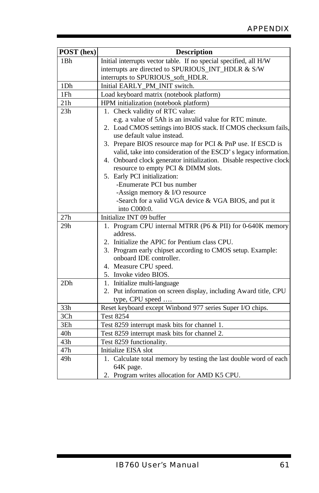| POST (hex)      | <b>Description</b>                                                  |
|-----------------|---------------------------------------------------------------------|
| 1 <sub>Bh</sub> | Initial interrupts vector table. If no special specified, all H/W   |
|                 | interrupts are directed to SPURIOUS_INT_HDLR & S/W                  |
|                 | interrupts to SPURIOUS_soft_HDLR.                                   |
| 1Dh             | Initial EARLY_PM_INIT switch.                                       |
| 1Fh             | Load keyboard matrix (notebook platform)                            |
| 21h             | HPM initialization (notebook platform)                              |
| 23h             | 1. Check validity of RTC value:                                     |
|                 | e.g. a value of 5Ah is an invalid value for RTC minute.             |
|                 | 2. Load CMOS settings into BIOS stack. If CMOS checksum fails,      |
|                 | use default value instead.                                          |
|                 | 3. Prepare BIOS resource map for PCI & PnP use. If ESCD is          |
|                 | valid, take into consideration of the ESCD's legacy information.    |
|                 | 4. Onboard clock generator initialization. Disable respective clock |
|                 | resource to empty PCI & DIMM slots.                                 |
|                 | 5. Early PCI initialization:                                        |
|                 | -Enumerate PCI bus number                                           |
|                 | -Assign memory & I/O resource                                       |
|                 | -Search for a valid VGA device & VGA BIOS, and put it               |
|                 | into C000:0.                                                        |
| 27h             | Initialize INT 09 buffer                                            |
| 29h             | 1. Program CPU internal MTRR (P6 & PII) for 0-640K memory           |
|                 | address.                                                            |
|                 | 2. Initialize the APIC for Pentium class CPU.                       |
|                 | 3. Program early chipset according to CMOS setup. Example:          |
|                 | onboard IDE controller.                                             |
|                 | 4. Measure CPU speed.                                               |
|                 | 5. Invoke video BIOS.                                               |
| 2Dh             | 1. Initialize multi-language                                        |
|                 | 2. Put information on screen display, including Award title, CPU    |
|                 | type, CPU speed                                                     |
| 33h             | Reset keyboard except Winbond 977 series Super I/O chips.           |
| 3Ch             | <b>Test 8254</b>                                                    |
| 3Eh             | Test 8259 interrupt mask bits for channel 1.                        |
| 40h             | Test 8259 interrupt mask bits for channel 2.                        |
| 43h             | Test 8259 functionality.                                            |
| 47h             | Initialize EISA slot                                                |
| 49h             | 1. Calculate total memory by testing the last double word of each   |
|                 | 64K page.                                                           |
|                 | 2. Program writes allocation for AMD K5 CPU.                        |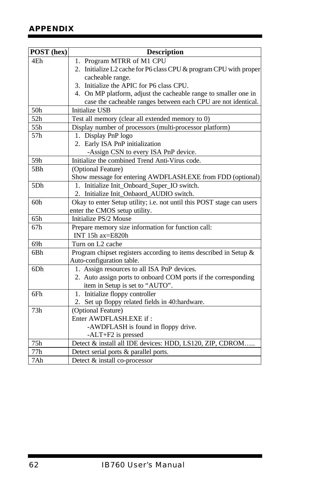| POST (hex)      | <b>Description</b>                                                    |
|-----------------|-----------------------------------------------------------------------|
| 4Eh             | 1. Program MTRR of M1 CPU                                             |
|                 | 2. Initialize L2 cache for P6 class CPU & program CPU with proper     |
|                 | cacheable range.                                                      |
|                 | 3. Initialize the APIC for P6 class CPU.                              |
|                 | 4. On MP platform, adjust the cacheable range to smaller one in       |
|                 | case the cacheable ranges between each CPU are not identical.         |
| 50h             | <b>Initialize USB</b>                                                 |
| 52h             | Test all memory (clear all extended memory to 0)                      |
| 55h             | Display number of processors (multi-processor platform)               |
| 57h             | 1. Display PnP logo                                                   |
|                 | 2. Early ISA PnP initialization                                       |
|                 | -Assign CSN to every ISA PnP device.                                  |
| 59h             | Initialize the combined Trend Anti-Virus code.                        |
| 5 <sub>Bh</sub> | (Optional Feature)                                                    |
|                 | Show message for entering AWDFLASH.EXE from FDD (optional)            |
| 5Dh             | 1. Initialize Init_Onboard_Super_IO switch.                           |
|                 | 2. Initialize Init_Onbaord_AUDIO switch.                              |
| 60h             | Okay to enter Setup utility; i.e. not until this POST stage can users |
|                 | enter the CMOS setup utility.                                         |
| 65h             | Initialize PS/2 Mouse                                                 |
| 67h             | Prepare memory size information for function call:                    |
|                 | INT 15h ax=E820h                                                      |
| 69h             | Turn on L2 cache                                                      |
| 6 <sub>Bh</sub> | Program chipset registers according to items described in Setup &     |
|                 | Auto-configuration table.                                             |
| 6 <sub>Dh</sub> | 1. Assign resources to all ISA PnP devices.                           |
|                 | 2. Auto assign ports to onboard COM ports if the corresponding        |
|                 | item in Setup is set to "AUTO".                                       |
| 6Fh             | 1. Initialize floppy controller                                       |
|                 | 2. Set up floppy related fields in 40:hardware.                       |
| 73h             | (Optional Feature)                                                    |
|                 | Enter AWDFLASH.EXE if:                                                |
|                 | -AWDFLASH is found in floppy drive.                                   |
|                 | $-ALT + F2$ is pressed                                                |
| 75h             | Detect & install all IDE devices: HDD, LS120, ZIP, CDROM              |
| 77h             | Detect serial ports & parallel ports.                                 |
| 7Ah             | Detect & install co-processor                                         |

٠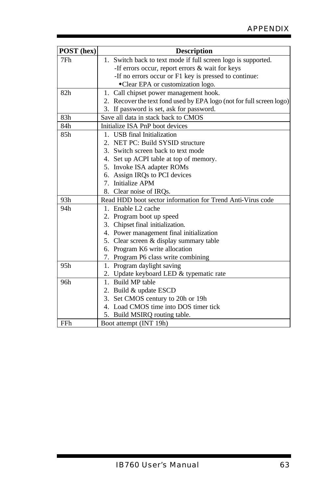| POST (hex) | <b>Description</b>                                                   |
|------------|----------------------------------------------------------------------|
| 7Fh        | 1. Switch back to text mode if full screen logo is supported.        |
|            | -If errors occur, report errors $\&$ wait for keys                   |
|            | -If no errors occur or F1 key is pressed to continue:                |
|            | *Clear EPA or customization logo.                                    |
| 82h        | 1. Call chipset power management hook.                               |
|            | 2. Recover the text fond used by EPA logo (not for full screen logo) |
|            | 3. If password is set, ask for password.                             |
| 83h        | Save all data in stack back to CMOS                                  |
| 84h        | Initialize ISA PnP boot devices                                      |
| 85h        | 1. USB final Initialization                                          |
|            | 2. NET PC: Build SYSID structure                                     |
|            | 3. Switch screen back to text mode                                   |
|            | 4. Set up ACPI table at top of memory.                               |
|            | 5. Invoke ISA adapter ROMs                                           |
|            | 6. Assign IRQs to PCI devices                                        |
|            | 7. Initialize APM                                                    |
|            | 8. Clear noise of IRQs.                                              |
| 93h        | Read HDD boot sector information for Trend Anti-Virus code           |
| 94h        | 1. Enable L2 cache                                                   |
|            | 2. Program boot up speed                                             |
|            | 3. Chipset final initialization.                                     |
|            | 4. Power management final initialization                             |
|            | 5. Clear screen & display summary table                              |
|            | 6. Program K6 write allocation                                       |
|            | 7. Program P6 class write combining                                  |
| 95h        | 1. Program daylight saving                                           |
|            | 2. Update keyboard LED & typematic rate                              |
| 96h        | 1. Build MP table                                                    |
|            | 2. Build & update ESCD                                               |
|            | 3. Set CMOS century to 20h or 19h                                    |
|            | 4. Load CMOS time into DOS timer tick                                |
|            | 5. Build MSIRQ routing table.                                        |
| FFh        | Boot attempt (INT 19h)                                               |